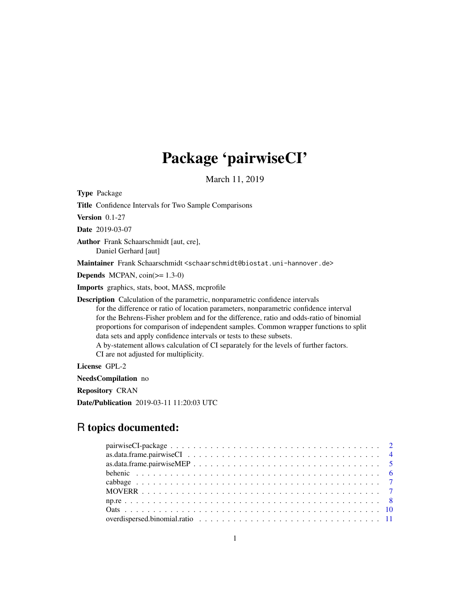# Package 'pairwiseCI'

March 11, 2019

<span id="page-0-0"></span>Type Package Title Confidence Intervals for Two Sample Comparisons Version 0.1-27 Date 2019-03-07 Author Frank Schaarschmidt [aut, cre], Daniel Gerhard [aut] Maintainer Frank Schaarschmidt <schaarschmidt@biostat.uni-hannover.de> **Depends** MCPAN,  $\text{coin}(\geq 1.3-0)$ Imports graphics, stats, boot, MASS, mcprofile Description Calculation of the parametric, nonparametric confidence intervals for the difference or ratio of location parameters, nonparametric confidence interval for the Behrens-Fisher problem and for the difference, ratio and odds-ratio of binomial proportions for comparison of independent samples. Common wrapper functions to split data sets and apply confidence intervals or tests to these subsets. A by-statement allows calculation of CI separately for the levels of further factors. CI are not adjusted for multiplicity. License GPL-2

NeedsCompilation no

Repository CRAN

Date/Publication 2019-03-11 11:20:03 UTC

# R topics documented: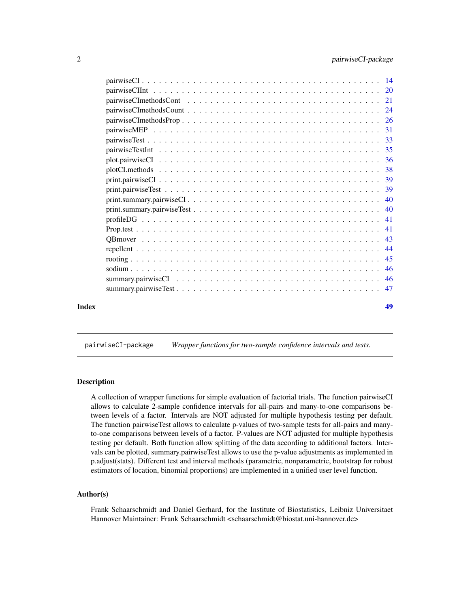<span id="page-1-0"></span>

| Index | 49 |
|-------|----|

pairwiseCI-package *Wrapper functions for two-sample confidence intervals and tests.*

#### Description

A collection of wrapper functions for simple evaluation of factorial trials. The function pairwiseCI allows to calculate 2-sample confidence intervals for all-pairs and many-to-one comparisons between levels of a factor. Intervals are NOT adjusted for multiple hypothesis testing per default. The function pairwiseTest allows to calculate p-values of two-sample tests for all-pairs and manyto-one comparisons between levels of a factor. P-values are NOT adjusted for multiple hypothesis testing per default. Both function allow splitting of the data according to additional factors. Intervals can be plotted, summary.pairwiseTest allows to use the p-value adjustments as implemented in p.adjust(stats). Different test and interval methods (parametric, nonparametric, bootstrap for robust estimators of location, binomial proportions) are implemented in a unified user level function.

# Author(s)

Frank Schaarschmidt and Daniel Gerhard, for the Institute of Biostatistics, Leibniz Universitaet Hannover Maintainer: Frank Schaarschmidt <schaarschmidt@biostat.uni-hannover.de>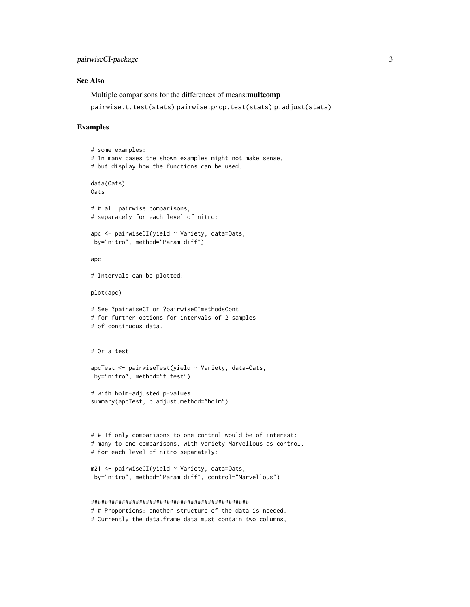# See Also

Multiple comparisons for the differences of means:multcomp

pairwise.t.test(stats) pairwise.prop.test(stats) p.adjust(stats)

#### Examples

```
# some examples:
# In many cases the shown examples might not make sense,
# but display how the functions can be used.
data(Oats)
Oats
# # all pairwise comparisons,
# separately for each level of nitro:
apc <- pairwiseCI(yield ~ Variety, data=Oats,
by="nitro", method="Param.diff")
apc
# Intervals can be plotted:
plot(apc)
# See ?pairwiseCI or ?pairwiseCImethodsCont
# for further options for intervals of 2 samples
# of continuous data.
# Or a test
apcTest <- pairwiseTest(yield ~ Variety, data=Oats,
by="nitro", method="t.test")
# with holm-adjusted p-values:
summary(apcTest, p.adjust.method="holm")
# # If only comparisons to one control would be of interest:
# many to one comparisons, with variety Marvellous as control,
# for each level of nitro separately:
m21 <- pairwiseCI(yield ~ Variety, data=Oats,
 by="nitro", method="Param.diff", control="Marvellous")
##############################################
# # Proportions: another structure of the data is needed.
```
# Currently the data.frame data must contain two columns,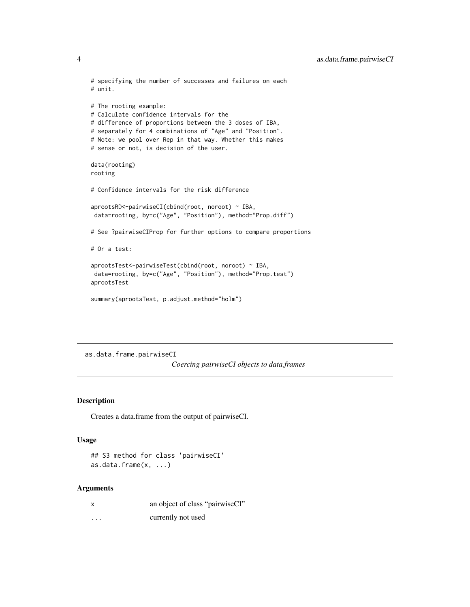```
# specifying the number of successes and failures on each
# unit.
# The rooting example:
# Calculate confidence intervals for the
# difference of proportions between the 3 doses of IBA,
# separately for 4 combinations of "Age" and "Position".
# Note: we pool over Rep in that way. Whether this makes
# sense or not, is decision of the user.
data(rooting)
rooting
# Confidence intervals for the risk difference
aprootsRD<-pairwiseCI(cbind(root, noroot) ~ IBA,
data=rooting, by=c("Age", "Position"), method="Prop.diff")
# See ?pairwiseCIProp for further options to compare proportions
# Or a test:
aprootsTest<-pairwiseTest(cbind(root, noroot) ~ IBA,
data=rooting, by=c("Age", "Position"), method="Prop.test")
aprootsTest
summary(aprootsTest, p.adjust.method="holm")
```
<span id="page-3-1"></span>as.data.frame.pairwiseCI

*Coercing pairwiseCI objects to data.frames*

# Description

Creates a data.frame from the output of pairwiseCI.

# Usage

```
## S3 method for class 'pairwiseCI'
as.data.frame(x, ...)
```

| X        | an object of class "pairwiseCI" |
|----------|---------------------------------|
| $\cdots$ | currently not used              |

<span id="page-3-0"></span>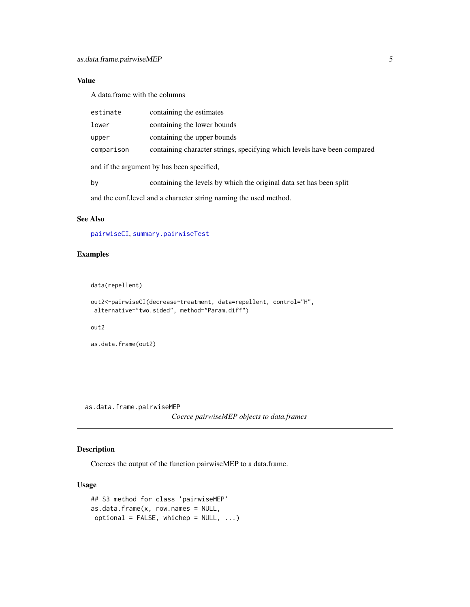# <span id="page-4-0"></span>Value

A data.frame with the columns

| estimate                                                           | containing the estimates                                                 |  |  |  |
|--------------------------------------------------------------------|--------------------------------------------------------------------------|--|--|--|
| lower                                                              | containing the lower bounds                                              |  |  |  |
| upper                                                              | containing the upper bounds                                              |  |  |  |
| comparison                                                         | containing character strings, specifying which levels have been compared |  |  |  |
| and if the argument by has been specified,                         |                                                                          |  |  |  |
| by                                                                 | containing the levels by which the original data set has been split      |  |  |  |
| and the conf. level and a character string naming the used method. |                                                                          |  |  |  |

# See Also

[pairwiseCI](#page-13-1), [summary.pairwiseTest](#page-46-1)

# Examples

```
data(repellent)
```

```
out2<-pairwiseCI(decrease~treatment, data=repellent, control="H",
alternative="two.sided", method="Param.diff")
```
out2

```
as.data.frame(out2)
```
<span id="page-4-1"></span>as.data.frame.pairwiseMEP

*Coerce pairwiseMEP objects to data.frames*

# Description

Coerces the output of the function pairwiseMEP to a data.frame.

# Usage

```
## S3 method for class 'pairwiseMEP'
as.data.frame(x, row.names = NULL,
optional = FALSE, whichep = NULL, ...)
```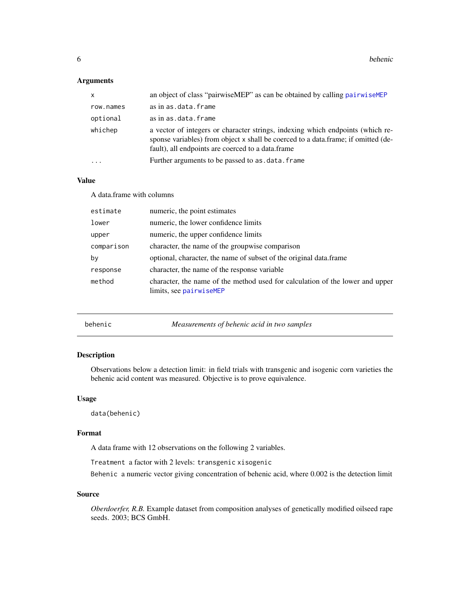<span id="page-5-0"></span>**6** behenic

# Arguments

| X         | an object of class "pairwise MEP" as can be obtained by calling pairwise MEP                                                                                                                                             |
|-----------|--------------------------------------------------------------------------------------------------------------------------------------------------------------------------------------------------------------------------|
| row.names | as in as.data.frame                                                                                                                                                                                                      |
| optional  | as in as.data.frame                                                                                                                                                                                                      |
| whichep   | a vector of integers or character strings, indexing which endpoints (which re-<br>sponse variables) from object x shall be coerced to a data.frame; if omitted (de-<br>fault), all endpoints are coerced to a data.frame |
| $\cdots$  | Further arguments to be passed to as . data. frame                                                                                                                                                                       |

#### Value

A data.frame with columns

| estimate   | numeric, the point estimates                                                                             |
|------------|----------------------------------------------------------------------------------------------------------|
| lower      | numeric, the lower confidence limits                                                                     |
| upper      | numeric, the upper confidence limits                                                                     |
| comparison | character, the name of the groupwise comparison                                                          |
| by         | optional, character, the name of subset of the original data. frame                                      |
| response   | character, the name of the response variable                                                             |
| method     | character, the name of the method used for calculation of the lower and upper<br>limits, see pairwiseMEP |

behenic *Measurements of behenic acid in two samples*

#### Description

Observations below a detection limit: in field trials with transgenic and isogenic corn varieties the behenic acid content was measured. Objective is to prove equivalence.

#### Usage

data(behenic)

#### Format

A data frame with 12 observations on the following 2 variables.

Treatment a factor with 2 levels: transgenic xisogenic

Behenic a numeric vector giving concentration of behenic acid, where 0.002 is the detection limit

# Source

*Oberdoerfer, R.B.* Example dataset from composition analyses of genetically modified oilseed rape seeds. 2003; BCS GmbH.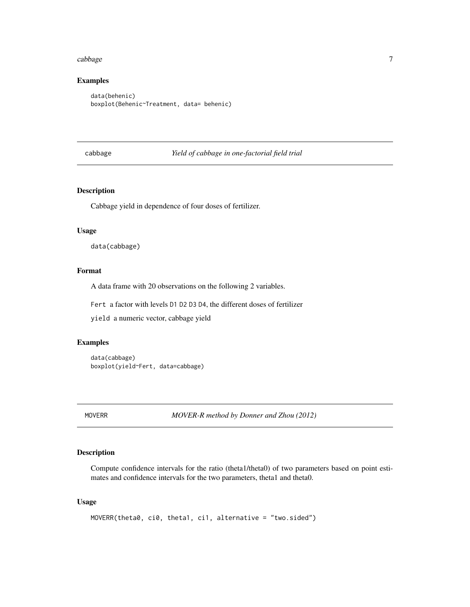#### <span id="page-6-0"></span>cabbage 7 and 2008 and 2008 and 2008 and 2008 and 2008 and 2008 and 2008 and 2008 and 2008 and 2008 and 2008 and 2008 and 2008 and 2008 and 2008 and 2008 and 2008 and 2008 and 2008 and 2008 and 2008 and 2008 and 2008 and 2

# Examples

```
data(behenic)
boxplot(Behenic~Treatment, data= behenic)
```
# cabbage *Yield of cabbage in one-factorial field trial*

# Description

Cabbage yield in dependence of four doses of fertilizer.

#### Usage

data(cabbage)

# Format

A data frame with 20 observations on the following 2 variables.

Fert a factor with levels D1 D2 D3 D4, the different doses of fertilizer

yield a numeric vector, cabbage yield

#### Examples

```
data(cabbage)
boxplot(yield~Fert, data=cabbage)
```
MOVERR *MOVER-R method by Donner and Zhou (2012)*

#### Description

Compute confidence intervals for the ratio (theta1/theta0) of two parameters based on point estimates and confidence intervals for the two parameters, theta1 and theta0.

# Usage

```
MOVERR(theta0, ci0, theta1, ci1, alternative = "two.sided")
```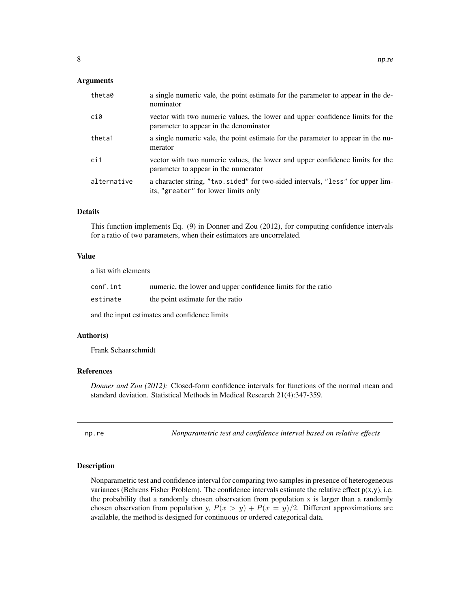#### <span id="page-7-0"></span>**Arguments**

| theta0      | a single numeric vale, the point estimate for the parameter to appear in the de-<br>nominator                           |
|-------------|-------------------------------------------------------------------------------------------------------------------------|
| ci0         | vector with two numeric values, the lower and upper confidence limits for the<br>parameter to appear in the denominator |
| theta1      | a single numeric vale, the point estimate for the parameter to appear in the nu-<br>merator                             |
| ci1         | vector with two numeric values, the lower and upper confidence limits for the<br>parameter to appear in the numerator   |
| alternative | a character string, "two sided" for two-sided intervals, "less" for upper lim-<br>its, "greater" for lower limits only  |

#### Details

This function implements Eq. (9) in Donner and Zou (2012), for computing confidence intervals for a ratio of two parameters, when their estimators are uncorrelated.

#### Value

a list with elements

| conf.int                                      | numeric, the lower and upper confidence limits for the ratio |  |  |  |  |
|-----------------------------------------------|--------------------------------------------------------------|--|--|--|--|
| estimate                                      | the point estimate for the ratio                             |  |  |  |  |
| and the input estimates and confidence limits |                                                              |  |  |  |  |

#### Author(s)

Frank Schaarschmidt

# References

*Donner and Zou (2012):* Closed-form confidence intervals for functions of the normal mean and standard deviation. Statistical Methods in Medical Research 21(4):347-359.

np.re *Nonparametric test and confidence interval based on relative effects*

#### Description

Nonparametric test and confidence interval for comparing two samples in presence of heterogeneous variances (Behrens Fisher Problem). The confidence intervals estimate the relative effect  $p(x,y)$ , i.e. the probability that a randomly chosen observation from population  $x$  is larger than a randomly chosen observation from population y,  $P(x > y) + P(x = y)/2$ . Different approximations are available, the method is designed for continuous or ordered categorical data.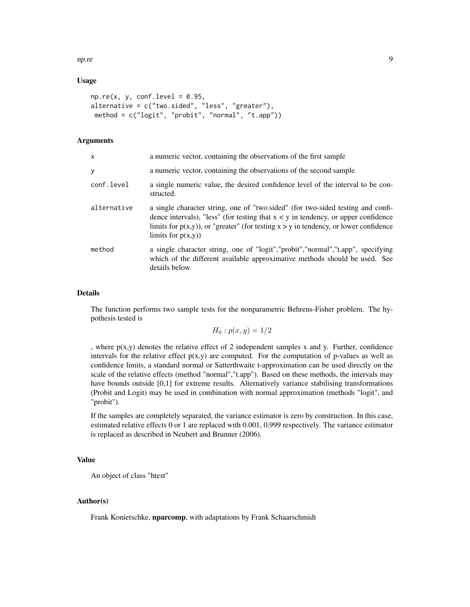np.re 9

# Usage

```
np.re(x, y, conf.level = 0.95,alternative = c("two(side", "less", "greater"),method = c("logit", "probit", "normal", "t.app"))
```
# Arguments

| x           | a numeric vector, containing the observations of the first sample                                                                                                                                                                                                                         |
|-------------|-------------------------------------------------------------------------------------------------------------------------------------------------------------------------------------------------------------------------------------------------------------------------------------------|
| y           | a numeric vector, containing the observations of the second sample                                                                                                                                                                                                                        |
| conf.level  | a single numeric value, the desired confidence level of the interval to be con-<br>structed.                                                                                                                                                                                              |
| alternative | a single character string, one of "two sided" (for two-sided testing and confi-<br>dence intervals), "less" (for testing that $x < y$ in tendency, or upper confidence<br>limits for $p(x,y)$ , or "greater" (for testing $x > y$ in tendency, or lower confidence<br>limits for $p(x,y)$ |
| method      | a single character string, one of "logit", "probit", "normal", "t.app", specifying<br>which of the different available approximative methods should be used. See<br>details below.                                                                                                        |

#### Details

The function performs two sample tests for the nonparametric Behrens-Fisher problem. The hypothesis tested is

$$
H_0: p(x, y) = 1/2
$$

, where  $p(x,y)$  denotes the relative effect of 2 independent samples x and y. Further, confidence intervals for the relative effect  $p(x,y)$  are computed. For the computation of p-values as well as confidence limits, a standard normal or Satterthwaite t-approximation can be used directly on the scale of the relative effects (method "normal","t.app"). Based on these methods, the intervals may have bounds outside [0,1] for extreme results. Alternatively variance stabilising transformations (Probit and Logit) may be used in combination with normal approximation (methods "logit", and "probit").

If the samples are completely separated, the variance estimator is zero by construction. In this case, estimated relative effects 0 or 1 are replaced with 0.001, 0.999 respectively. The variance estimator is replaced as described in Neubert and Brunner (2006).

# Value

An object of class "htest"

#### Author(s)

Frank Konietschke, nparcomp, with adaptations by Frank Schaarschmidt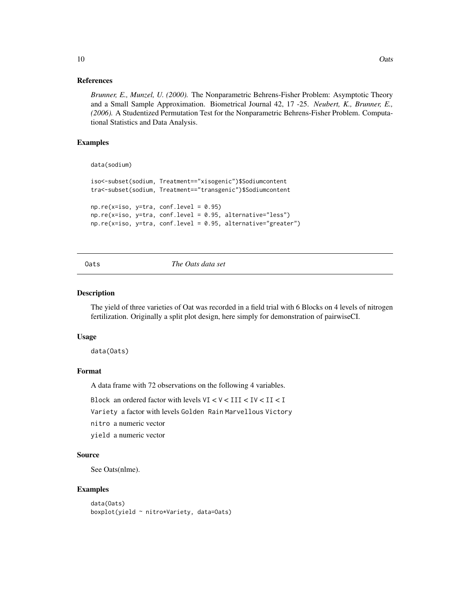#### References

*Brunner, E., Munzel, U. (2000).* The Nonparametric Behrens-Fisher Problem: Asymptotic Theory and a Small Sample Approximation. Biometrical Journal 42, 17 -25. *Neubert, K., Brunner, E., (2006).* A Studentized Permutation Test for the Nonparametric Behrens-Fisher Problem. Computational Statistics and Data Analysis.

# Examples

data(sodium)

```
iso<-subset(sodium, Treatment=="xisogenic")$Sodiumcontent
tra<-subset(sodium, Treatment=="transgenic")$Sodiumcontent
np.re(x=iso, y=tra, conf.level = 0.95)np.re(x=iso, y=tra, conf.level = 0.95, alternative="less")
np.re(x=iso, y=tra, conf.level = 0.95, alternative="greater")
```
Oats *The Oats data set*

#### Description

The yield of three varieties of Oat was recorded in a field trial with 6 Blocks on 4 levels of nitrogen fertilization. Originally a split plot design, here simply for demonstration of pairwiseCI.

#### Usage

data(Oats)

# Format

A data frame with 72 observations on the following 4 variables.

Block an ordered factor with levels VI < V < III < IV < II < I

Variety a factor with levels Golden Rain Marvellous Victory

nitro a numeric vector

yield a numeric vector

#### Source

See Oats(nlme).

#### Examples

```
data(Oats)
boxplot(yield ~ nitro*Variety, data=Oats)
```
<span id="page-9-0"></span>10 Oats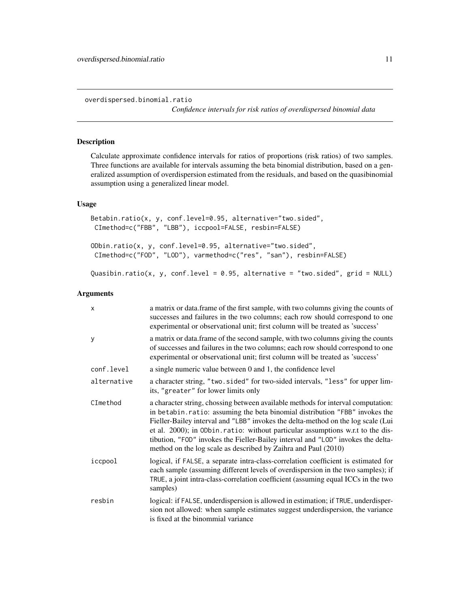<span id="page-10-0"></span>overdispersed.binomial.ratio

*Confidence intervals for risk ratios of overdispersed binomial data*

#### Description

Calculate approximate confidence intervals for ratios of proportions (risk ratios) of two samples. Three functions are available for intervals assuming the beta binomial distribution, based on a generalized assumption of overdispersion estimated from the residuals, and based on the quasibinomial assumption using a generalized linear model.

#### Usage

```
Betabin.ratio(x, y, conf.level=0.95, alternative="two.sided",
CImethod=c("FBB", "LBB"), iccpool=FALSE, resbin=FALSE)
ODbin.ratio(x, y, conf.level=0.95, alternative="two.sided",
CImethod=c("FOD", "LOD"), varmethod=c("res", "san"), resbin=FALSE)
Quasibin.ratio(x, y, conf.level = 0.95, alternative = "two.sided", grid = NULL)
```

| x           | a matrix or data. frame of the first sample, with two columns giving the counts of<br>successes and failures in the two columns; each row should correspond to one<br>experimental or observational unit; first column will be treated as 'success'                                                                                                                                                                                                                                         |
|-------------|---------------------------------------------------------------------------------------------------------------------------------------------------------------------------------------------------------------------------------------------------------------------------------------------------------------------------------------------------------------------------------------------------------------------------------------------------------------------------------------------|
| У           | a matrix or data. frame of the second sample, with two columns giving the counts<br>of successes and failures in the two columns; each row should correspond to one<br>experimental or observational unit; first column will be treated as 'success'                                                                                                                                                                                                                                        |
| conf.level  | a single numeric value between 0 and 1, the confidence level                                                                                                                                                                                                                                                                                                                                                                                                                                |
| alternative | a character string, "two.sided" for two-sided intervals, "less" for upper lim-<br>its, "greater" for lower limits only                                                                                                                                                                                                                                                                                                                                                                      |
| CImethod    | a character string, chossing between available methods for interval computation:<br>in betabin.ratio: assuming the beta binomial distribution "FBB" invokes the<br>Fieller-Bailey interval and "LBB" invokes the delta-method on the log scale (Lui<br>et al. 2000); in ODbin.ratio: without particular assumptions w.r.t to the dis-<br>tibution, "FOD" invokes the Fieller-Bailey interval and "LOD" invokes the delta-<br>method on the log scale as described by Zaihra and Paul (2010) |
| iccpool     | logical, if FALSE, a separate intra-class-correlation coefficient is estimated for<br>each sample (assuming different levels of overdispersion in the two samples); if<br>TRUE, a joint intra-class-correlation coefficient (assuming equal ICCs in the two<br>samples)                                                                                                                                                                                                                     |
| resbin      | logical: if FALSE, underdispersion is allowed in estimation; if TRUE, underdisper-<br>sion not allowed: when sample estimates suggest underdispersion, the variance<br>is fixed at the binommial variance                                                                                                                                                                                                                                                                                   |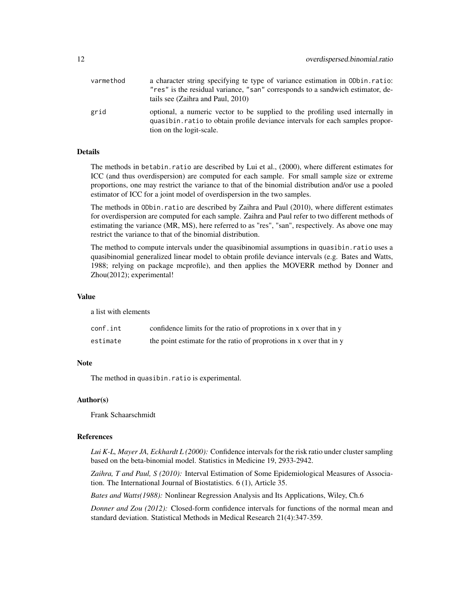| varmethod | a character string specifying te type of variance estimation in ODbin.ratio:<br>"res" is the residual variance, "san" corresponds to a sandwich estimator, de-<br>tails see (Zaihra and Paul, 2010) |
|-----------|-----------------------------------------------------------------------------------------------------------------------------------------------------------------------------------------------------|
| grid      | optional, a numeric vector to be supplied to the profiling used internally in<br>quasibin. ratio to obtain profile deviance intervals for each samples propor-<br>tion on the logit-scale.          |

#### Details

The methods in betabin.ratio are described by Lui et al., (2000), where different estimates for ICC (and thus overdispersion) are computed for each sample. For small sample size or extreme proportions, one may restrict the variance to that of the binomial distribution and/or use a pooled estimator of ICC for a joint model of overdispersion in the two samples.

The methods in ODbin.ratio are described by Zaihra and Paul (2010), where different estimates for overdispersion are computed for each sample. Zaihra and Paul refer to two different methods of estimating the variance (MR, MS), here referred to as "res", "san", respectively. As above one may restrict the variance to that of the binomial distribution.

The method to compute intervals under the quasibinomial assumptions in quasibin.ratio uses a quasibinomial generalized linear model to obtain profile deviance intervals (e.g. Bates and Watts, 1988; relying on package mcprofile), and then applies the MOVERR method by Donner and Zhou(2012); experimental!

#### Value

a list with elements

| conf.int | confidence limits for the ratio of proprotions in x over that in y  |
|----------|---------------------------------------------------------------------|
| estimate | the point estimate for the ratio of proprotions in x over that in y |

### Note

The method in quasibin.ratio is experimental.

#### Author(s)

Frank Schaarschmidt

#### References

*Lui K-L, Mayer JA, Eckhardt L (2000):* Confidence intervals for the risk ratio under cluster sampling based on the beta-binomial model. Statistics in Medicine 19, 2933-2942.

*Zaihra, T and Paul, S (2010):* Interval Estimation of Some Epidemiological Measures of Association. The International Journal of Biostatistics. 6 (1), Article 35.

*Bates and Watts(1988):* Nonlinear Regression Analysis and Its Applications, Wiley, Ch.6

*Donner and Zou (2012):* Closed-form confidence intervals for functions of the normal mean and standard deviation. Statistical Methods in Medical Research 21(4):347-359.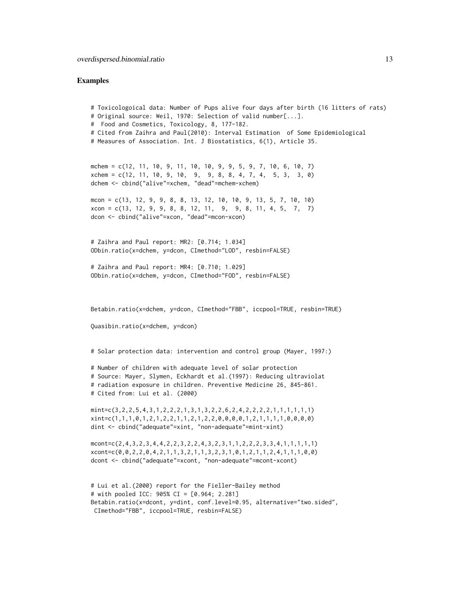#### Examples

```
# Toxicologoical data: Number of Pups alive four days after birth (16 litters of rats)
# Original source: Weil, 1970: Selection of valid number[...].
# Food and Cosmetics, Toxicology, 8, 177-182.
# Cited from Zaihra and Paul(2010): Interval Estimation of Some Epidemiological
# Measures of Association. Int. J Biostatistics, 6(1), Article 35.
mchem = c(12, 11, 10, 9, 11, 10, 10, 9, 9, 5, 9, 7, 10, 6, 10, 7)
xchem = c(12, 11, 10, 9, 10, 9, 9, 8, 8, 4, 7, 4, 5, 3, 3, 0)
dchem <- cbind("alive"=xchem, "dead"=mchem-xchem)
mcon = c(13, 12, 9, 9, 8, 8, 13, 12, 10, 10, 9, 13, 5, 7, 10, 10)
xcon = c(13, 12, 9, 9, 8, 8, 12, 11, 9, 9, 8, 11, 4, 5, 7, 7)dcon <- cbind("alive"=xcon, "dead"=mcon-xcon)
# Zaihra and Paul report: MR2: [0.714; 1.034]
ODbin.ratio(x=dchem, y=dcon, CImethod="LOD", resbin=FALSE)
# Zaihra and Paul report: MR4: [0.710; 1.029]
ODbin.ratio(x=dchem, y=dcon, CImethod="FOD", resbin=FALSE)
Betabin.ratio(x=dchem, y=dcon, CImethod="FBB", iccpool=TRUE, resbin=TRUE)
Quasibin.ratio(x=dchem, y=dcon)
# Solar protection data: intervention and control group (Mayer, 1997:)
# Number of children with adequate level of solar protection
# Source: Mayer, Slymen, Eckhardt et al.(1997): Reducing ultraviolat
# radiation exposure in children. Preventive Medicine 26, 845-861.
# Cited from: Lui et al. (2000)
mint=c(3,2,2,5,4,3,1,2,2,2,1,3,1,3,2,2,6,2,4,2,2,2,2,1,1,1,1,1,1)
xint=c(1,1,1,0,1,2,1,2,2,1,1,2,1,2,2,0,0,0,0,1,2,1,1,1,1,0,0,0,0)
dint <- cbind("adequate"=xint, "non-adequate"=mint-xint)
mcont=c(2,4,3,2,3,4,4,2,2,3,2,2,4,3,2,3,1,1,2,2,2,3,3,4,1,1,1,1,1)
xcont=c(0,0,2,2,0,4,2,1,1,3,2,1,1,3,2,3,1,0,1,2,1,1,2,4,1,1,1,0,0)
dcont <- cbind("adequate"=xcont, "non-adequate"=mcont-xcont)
# Lui et al.(2000) report for the Fieller-Bailey method
# with pooled ICC: 905% CI = [0.964; 2.281]
Betabin.ratio(x=dcont, y=dint, conf.level=0.95, alternative="two.sided",
```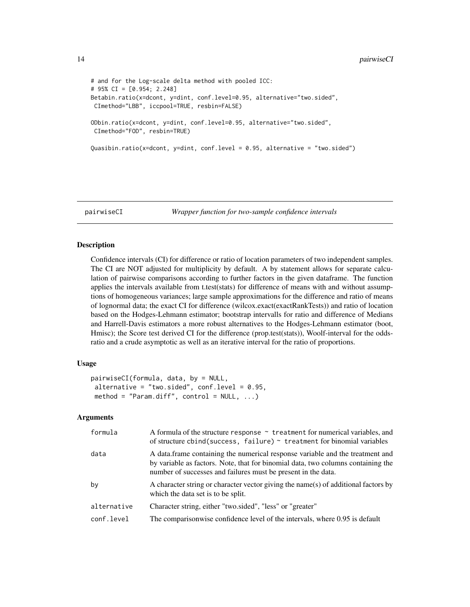```
# and for the Log-scale delta method with pooled ICC:
# 95% CI = [0.954; 2.248]
Betabin.ratio(x=dcont, y=dint, conf.level=0.95, alternative="two.sided",
CImethod="LBB", iccpool=TRUE, resbin=FALSE)
ODbin.ratio(x=dcont, y=dint, conf.level=0.95, alternative="two.sided",
CImethod="FOD", resbin=TRUE)
Quasibin.ratio(x=dcont, y=dint, conf.level = 0.95, alternative = "two.sided")
```
<span id="page-13-1"></span>

pairwiseCI *Wrapper function for two-sample confidence intervals*

#### Description

Confidence intervals (CI) for difference or ratio of location parameters of two independent samples. The CI are NOT adjusted for multiplicity by default. A by statement allows for separate calculation of pairwise comparisons according to further factors in the given dataframe. The function applies the intervals available from t.test(stats) for difference of means with and without assumptions of homogeneous variances; large sample approximations for the difference and ratio of means of lognormal data; the exact CI for difference (wilcox.exact(exactRankTests)) and ratio of location based on the Hodges-Lehmann estimator; bootstrap intervalls for ratio and difference of Medians and Harrell-Davis estimators a more robust alternatives to the Hodges-Lehmann estimator (boot, Hmisc); the Score test derived CI for the difference (prop.test(stats)), Woolf-interval for the oddsratio and a crude asymptotic as well as an iterative interval for the ratio of proportions.

# Usage

```
pairwiseCI(formula, data, by = NULL,
alternative = "two.sided", conf.level = 0.95,
method = "Param.diff", control = NULL, ...)
```

| formula     | A formula of the structure response $\sim$ treatment for numerical variables, and<br>of structure cbind(success, failure) $\sim$ treatment for binomial variables                                                                  |
|-------------|------------------------------------------------------------------------------------------------------------------------------------------------------------------------------------------------------------------------------------|
| data        | A data frame containing the numerical response variable and the treatment and<br>by variable as factors. Note, that for binomial data, two columns containing the<br>number of successes and failures must be present in the data. |
| by          | A character string or character vector giving the name(s) of additional factors by<br>which the data set is to be split.                                                                                                           |
| alternative | Character string, either "two.sided", "less" or "greater"                                                                                                                                                                          |
| conf.level  | The comparisonwise confidence level of the intervals, where 0.95 is default                                                                                                                                                        |

<span id="page-13-0"></span>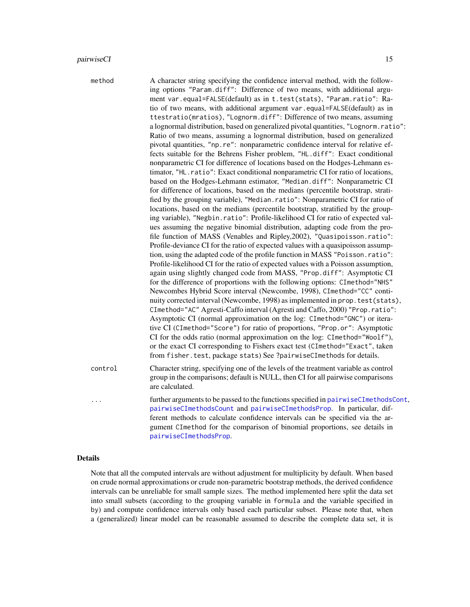<span id="page-14-0"></span>

| method  | A character string specifying the confidence interval method, with the follow-<br>ing options "Param.diff": Difference of two means, with additional argu-<br>ment var.equal=FALSE(default) as in t.test(stats), "Param.ratio": Ra-<br>tio of two means, with additional argument var.equal=FALSE(default) as in<br>ttestratio(mratios), "Lognorm.diff": Difference of two means, assuming<br>a lognormal distribution, based on generalized pivotal quantities, "Lognorm.ratio":<br>Ratio of two means, assuming a lognormal distribution, based on generalized<br>pivotal quantities, "np.re": nonparametric confidence interval for relative ef-<br>fects suitable for the Behrens Fisher problem, "HL.diff": Exact conditional<br>nonparametric CI for difference of locations based on the Hodges-Lehmann es-<br>timator, "HL.ratio": Exact conditional nonparametric CI for ratio of locations,<br>based on the Hodges-Lehmann estimator, "Median.diff": Nonparametric CI<br>for difference of locations, based on the medians (percentile bootstrap, strati-<br>fied by the grouping variable), "Median.ratio": Nonparametric CI for ratio of<br>locations, based on the medians (percentile bootstrap, stratified by the group-<br>ing variable), "Negbin.ratio": Profile-likelihood CI for ratio of expected val-<br>ues assuming the negative binomial distribution, adapting code from the pro-<br>file function of MASS (Venables and Ripley, 2002), "Quasipoisson.ratio":<br>Profile-deviance CI for the ratio of expected values with a quasipoisson assump-<br>tion, using the adapted code of the profile function in MASS "Poisson.ratio":<br>Profile-likelihood CI for the ratio of expected values with a Poisson assumption,<br>again using slightly changed code from MASS, "Prop.diff": Asymptotic CI<br>for the difference of proportions with the following options: CImethod="NHS"<br>Newcombes Hybrid Score interval (Newcombe, 1998), CImethod="CC" conti-<br>nuity corrected interval (Newcombe, 1998) as implemented in prop. test(stats),<br>CImethod="AC" Agresti-Caffo interval (Agresti and Caffo, 2000) "Prop.ratio":<br>Asymptotic CI (normal approximation on the log: CImethod="GNC") or itera-<br>tive CI (CImethod="Score") for ratio of proportions, "Prop.or": Asymptotic<br>CI for the odds ratio (normal approximation on the log: CImethod="Woolf"),<br>or the exact CI corresponding to Fishers exact test (CImethod="Exact", taken<br>from fisher. test, package stats) See ?pairwiseCImethods for details. |
|---------|-----------------------------------------------------------------------------------------------------------------------------------------------------------------------------------------------------------------------------------------------------------------------------------------------------------------------------------------------------------------------------------------------------------------------------------------------------------------------------------------------------------------------------------------------------------------------------------------------------------------------------------------------------------------------------------------------------------------------------------------------------------------------------------------------------------------------------------------------------------------------------------------------------------------------------------------------------------------------------------------------------------------------------------------------------------------------------------------------------------------------------------------------------------------------------------------------------------------------------------------------------------------------------------------------------------------------------------------------------------------------------------------------------------------------------------------------------------------------------------------------------------------------------------------------------------------------------------------------------------------------------------------------------------------------------------------------------------------------------------------------------------------------------------------------------------------------------------------------------------------------------------------------------------------------------------------------------------------------------------------------------------------------------------------------------------------------------------------------------------------------------------------------------------------------------------------------------------------------------------------------------------------------------------------------------------------------------------------------------------------------------------------------------------------------------------------------------------------------------------------------------------------------------------------------------------|
| control | Character string, specifying one of the levels of the treatment variable as control<br>group in the comparisons; default is NULL, then CI for all pairwise comparisons<br>are calculated.                                                                                                                                                                                                                                                                                                                                                                                                                                                                                                                                                                                                                                                                                                                                                                                                                                                                                                                                                                                                                                                                                                                                                                                                                                                                                                                                                                                                                                                                                                                                                                                                                                                                                                                                                                                                                                                                                                                                                                                                                                                                                                                                                                                                                                                                                                                                                                 |
| .       | further arguments to be passed to the functions specified in pairwiseCImethodsCont,<br>pairwiseCImethodsCount and pairwiseCImethodsProp. In particular, dif-<br>ferent methods to calculate confidence intervals can be specified via the ar-<br>gument CImethod for the comparison of binomial proportions, see details in<br>pairwiseCImethodsProp.                                                                                                                                                                                                                                                                                                                                                                                                                                                                                                                                                                                                                                                                                                                                                                                                                                                                                                                                                                                                                                                                                                                                                                                                                                                                                                                                                                                                                                                                                                                                                                                                                                                                                                                                                                                                                                                                                                                                                                                                                                                                                                                                                                                                     |
|         |                                                                                                                                                                                                                                                                                                                                                                                                                                                                                                                                                                                                                                                                                                                                                                                                                                                                                                                                                                                                                                                                                                                                                                                                                                                                                                                                                                                                                                                                                                                                                                                                                                                                                                                                                                                                                                                                                                                                                                                                                                                                                                                                                                                                                                                                                                                                                                                                                                                                                                                                                           |

# Details

Note that all the computed intervals are without adjustment for multiplicity by default. When based on crude normal approximations or crude non-parametric bootstrap methods, the derived confidence intervals can be unreliable for small sample sizes. The method implemented here split the data set into small subsets (according to the grouping variable in formula and the variable specified in by) and compute confidence intervals only based each particular subset. Please note that, when a (generalized) linear model can be reasonable assumed to describe the complete data set, it is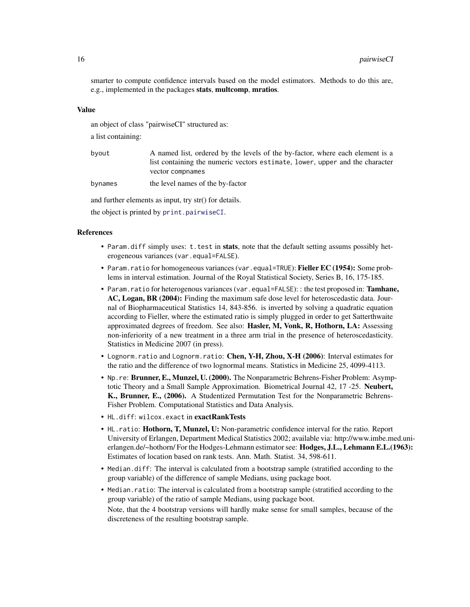<span id="page-15-0"></span>smarter to compute confidence intervals based on the model estimators. Methods to do this are, e.g., implemented in the packages stats, multcomp, mratios.

#### Value

an object of class "pairwiseCI" structured as:

a list containing:

| byout | A named list, ordered by the levels of the by-factor, where each element is a |
|-------|-------------------------------------------------------------------------------|
|       | list containing the numeric vectors estimate, lower, upper and the character  |
|       | vector compnames                                                              |

bynames the level names of the by-factor

and further elements as input, try str() for details.

the object is printed by [print.pairwiseCI](#page-38-1).

#### References

- Param. diff simply uses: t.test in **stats**, note that the default setting assums possibly heterogeneous variances (var.equal=FALSE).
- Param.ratio for homogeneous variances (var.equal=TRUE): Fieller EC (1954): Some problems in interval estimation. Journal of the Royal Statistical Society, Series B, 16, 175-185.
- Param.ratio for heterogenous variances (var.equal=FALSE): : the test proposed in: Tamhane, AC, Logan, BR (2004): Finding the maximum safe dose level for heteroscedastic data. Journal of Biopharmaceutical Statistics 14, 843-856. is inverted by solving a quadratic equation according to Fieller, where the estimated ratio is simply plugged in order to get Satterthwaite approximated degrees of freedom. See also: Hasler, M, Vonk, R, Hothorn, LA: Assessing non-inferiority of a new treatment in a three arm trial in the presence of heteroscedasticity. Statistics in Medicine 2007 (in press).
- Lognorm.ratio and Lognorm.ratio: Chen, Y-H, Zhou, X-H (2006): Interval estimates for the ratio and the difference of two lognormal means. Statistics in Medicine 25, 4099-4113.
- Np.re: Brunner, E., Munzel, U. (2000). The Nonparametric Behrens-Fisher Problem: Asymptotic Theory and a Small Sample Approximation. Biometrical Journal 42, 17 -25. Neubert, K., Brunner, E., (2006). A Studentized Permutation Test for the Nonparametric Behrens-Fisher Problem. Computational Statistics and Data Analysis.
- HL.diff: wilcox.exact in exactRankTests
- HL.ratio: Hothorn, T, Munzel, U: Non-parametric confidence interval for the ratio. Report University of Erlangen, Department Medical Statistics 2002; available via: http://www.imbe.med.unierlangen.de/~hothorn/ For the Hodges-Lehmann estimator see: **Hodges, J.L., Lehmann E.L.**(1963): Estimates of location based on rank tests. Ann. Math. Statist. 34, 598-611.
- Median.diff: The interval is calculated from a bootstrap sample (stratified according to the group variable) of the difference of sample Medians, using package boot.
- Median.ratio: The interval is calculated from a bootstrap sample (stratified according to the group variable) of the ratio of sample Medians, using package boot. Note, that the 4 bootstrap versions will hardly make sense for small samples, because of the discreteness of the resulting bootstrap sample.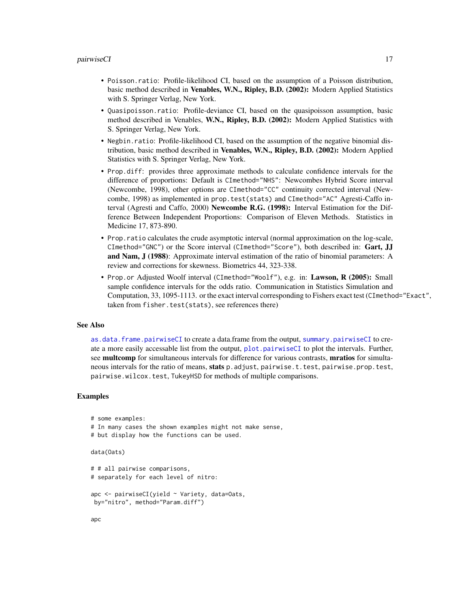- <span id="page-16-0"></span>• Poisson.ratio: Profile-likelihood CI, based on the assumption of a Poisson distribution, basic method described in Venables, W.N., Ripley, B.D. (2002): Modern Applied Statistics with S. Springer Verlag, New York.
- Quasipoisson.ratio: Profile-deviance CI, based on the quasipoisson assumption, basic method described in Venables, W.N., Ripley, B.D. (2002): Modern Applied Statistics with S. Springer Verlag, New York.
- Negbin.ratio: Profile-likelihood CI, based on the assumption of the negative binomial distribution, basic method described in Venables, W.N., Ripley, B.D. (2002): Modern Applied Statistics with S. Springer Verlag, New York.
- Prop.diff: provides three approximate methods to calculate confidence intervals for the difference of proportions: Default is CImethod="NHS": Newcombes Hybrid Score interval (Newcombe, 1998), other options are CImethod="CC" continuity corrected interval (Newcombe, 1998) as implemented in prop.test(stats) and CImethod="AC" Agresti-Caffo interval (Agresti and Caffo, 2000) Newcombe R.G. (1998): Interval Estimation for the Difference Between Independent Proportions: Comparison of Eleven Methods. Statistics in Medicine 17, 873-890.
- Prop.ratio calculates the crude asymptotic interval (normal approximation on the log-scale, CImethod="GNC") or the Score interval (CImethod="Score"), both described in: Gart, JJ and Nam, J (1988): Approximate interval estimation of the ratio of binomial parameters: A review and corrections for skewness. Biometrics 44, 323-338.
- Prop.or Adjusted Woolf interval (CImethod="Woolf"), e.g. in: Lawson, R (2005): Small sample confidence intervals for the odds ratio. Communication in Statistics Simulation and Computation, 33, 1095-1113. or the exact interval corresponding to Fishers exact test (CImethod="Exact", taken from fisher.test(stats), see references there)

#### See Also

[as.data.frame.pairwiseCI](#page-3-1) to create a data.frame from the output, [summary.pairwiseCI](#page-45-1) to create a more easily accessable list from the output, [plot.pairwiseCI](#page-35-1) to plot the intervals. Further, see multcomp for simultaneous intervals for difference for various contrasts, mratios for simultaneous intervals for the ratio of means, stats p.adjust, pairwise.t.test, pairwise.prop.test, pairwise.wilcox.test, TukeyHSD for methods of multiple comparisons.

# Examples

```
# some examples:
# In many cases the shown examples might not make sense,
# but display how the functions can be used.
```

```
data(Oats)
```

```
# # all pairwise comparisons,
# separately for each level of nitro:
```

```
apc <- pairwiseCI(yield ~ Variety, data=Oats,
by="nitro", method="Param.diff")
```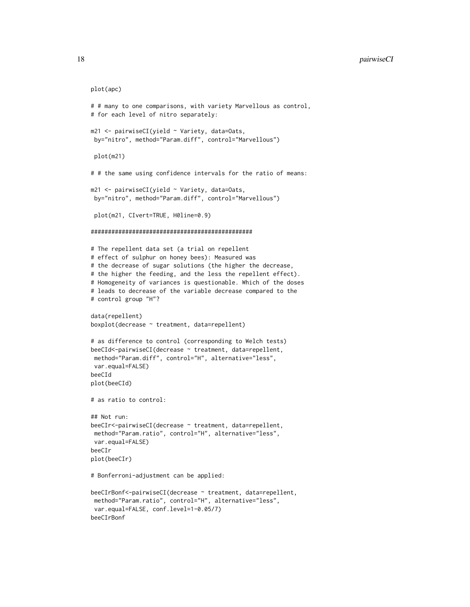```
plot(apc)
```

```
# # many to one comparisons, with variety Marvellous as control,
# for each level of nitro separately:
m21 <- pairwiseCI(yield ~ Variety, data=Oats,
by="nitro", method="Param.diff", control="Marvellous")
plot(m21)
# # the same using confidence intervals for the ratio of means:
m21 <- pairwiseCI(yield ~ Variety, data=Oats,
by="nitro", method="Param.diff", control="Marvellous")
plot(m21, CIvert=TRUE, H0line=0.9)
###############################################
# The repellent data set (a trial on repellent
# effect of sulphur on honey bees): Measured was
# the decrease of sugar solutions (the higher the decrease,
# the higher the feeding, and the less the repellent effect).
# Homogeneity of variances is questionable. Which of the doses
# leads to decrease of the variable decrease compared to the
# control group "H"?
data(repellent)
boxplot(decrease ~ treatment, data=repellent)
# as difference to control (corresponding to Welch tests)
beeCId<-pairwiseCI(decrease ~ treatment, data=repellent,
method="Param.diff", control="H", alternative="less",
var.equal=FALSE)
beeCId
plot(beeCId)
# as ratio to control:
## Not run:
beeCIr<-pairwiseCI(decrease ~ treatment, data=repellent,
method="Param.ratio", control="H", alternative="less",
var.equal=FALSE)
beeCIr
plot(beeCIr)
# Bonferroni-adjustment can be applied:
beeCIrBonf<-pairwiseCI(decrease ~ treatment, data=repellent,
method="Param.ratio", control="H", alternative="less",
var.equal=FALSE, conf.level=1-0.05/7)
beeCIrBonf
```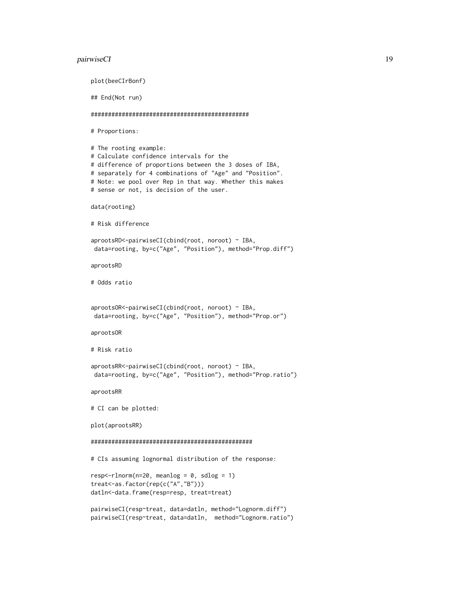#### pairwiseCI and the contract of the contract of the contract of the contract of the contract of the contract of the contract of the contract of the contract of the contract of the contract of the contract of the contract of

```
plot(beeCIrBonf)
## End(Not run)
##############################################
# Proportions:
# The rooting example:
# Calculate confidence intervals for the
# difference of proportions between the 3 doses of IBA,
# separately for 4 combinations of "Age" and "Position".
# Note: we pool over Rep in that way. Whether this makes
# sense or not, is decision of the user.
data(rooting)
# Risk difference
aprootsRD<-pairwiseCI(cbind(root, noroot) ~ IBA,
data=rooting, by=c("Age", "Position"), method="Prop.diff")
aprootsRD
# Odds ratio
aprootsOR<-pairwiseCI(cbind(root, noroot) ~ IBA,
data=rooting, by=c("Age", "Position"), method="Prop.or")
aprootsOR
# Risk ratio
aprootsRR<-pairwiseCI(cbind(root, noroot) ~ IBA,
data=rooting, by=c("Age", "Position"), method="Prop.ratio")
aprootsRR
# CI can be plotted:
plot(aprootsRR)
###############################################
# CIs assuming lognormal distribution of the response:
resp<-rlnorm(n=20, meanlog = 0, sdlog = 1)treat<-as.factor(rep(c("A","B")))
datln<-data.frame(resp=resp, treat=treat)
pairwiseCI(resp~treat, data=datln, method="Lognorm.diff")
pairwiseCI(resp~treat, data=datln, method="Lognorm.ratio")
```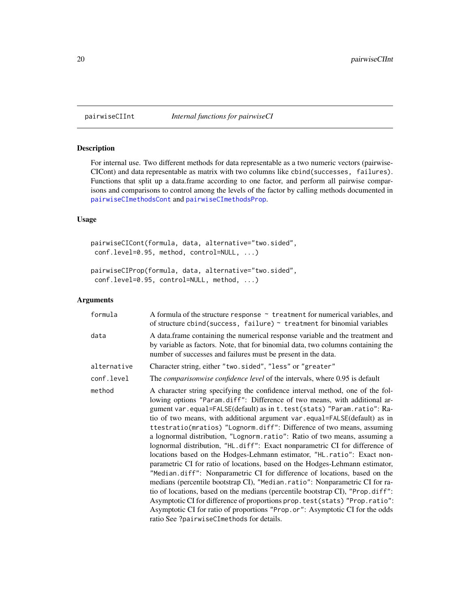<span id="page-19-0"></span>

# Description

For internal use. Two different methods for data representable as a two numeric vectors (pairwise-CICont) and data representable as matrix with two columns like cbind(successes, failures). Functions that split up a data.frame according to one factor, and perform all pairwise comparisons and comparisons to control among the levels of the factor by calling methods documented in [pairwiseCImethodsCont](#page-20-1) and [pairwiseCImethodsProp](#page-25-1).

# Usage

```
pairwiseCICont(formula, data, alternative="two.sided",
conf.level=0.95, method, control=NULL, ...)
```

```
pairwiseCIProp(formula, data, alternative="two.sided",
conf.level=0.95, control=NULL, method, ...)
```

| formula     | A formula of the structure response $\sim$ treatment for numerical variables, and<br>of structure cbind(success, failure) $\sim$ treatment for binomial variables                                                                                                                                                                                                                                                                                                                                                                                                                                                                                                                                                                                                                                                                                                                                                                                                                                                                                                                                                                                                             |
|-------------|-------------------------------------------------------------------------------------------------------------------------------------------------------------------------------------------------------------------------------------------------------------------------------------------------------------------------------------------------------------------------------------------------------------------------------------------------------------------------------------------------------------------------------------------------------------------------------------------------------------------------------------------------------------------------------------------------------------------------------------------------------------------------------------------------------------------------------------------------------------------------------------------------------------------------------------------------------------------------------------------------------------------------------------------------------------------------------------------------------------------------------------------------------------------------------|
| data        | A data.frame containing the numerical response variable and the treatment and<br>by variable as factors. Note, that for binomial data, two columns containing the<br>number of successes and failures must be present in the data.                                                                                                                                                                                                                                                                                                                                                                                                                                                                                                                                                                                                                                                                                                                                                                                                                                                                                                                                            |
| alternative | Character string, either "two.sided", "less" or "greater"                                                                                                                                                                                                                                                                                                                                                                                                                                                                                                                                                                                                                                                                                                                                                                                                                                                                                                                                                                                                                                                                                                                     |
| conf.level  | The <i>comparisonwise confidence level</i> of the intervals, where 0.95 is default                                                                                                                                                                                                                                                                                                                                                                                                                                                                                                                                                                                                                                                                                                                                                                                                                                                                                                                                                                                                                                                                                            |
| method      | A character string specifying the confidence interval method, one of the fol-<br>lowing options "Param.diff": Difference of two means, with additional ar-<br>gument var.equal=FALSE(default) as in t.test(stats) "Param.ratio": Ra-<br>tio of two means, with additional argument var.equal=FALSE(default) as in<br>ttestratio(mratios) "Lognorm.diff": Difference of two means, assuming<br>a lognormal distribution, "Lognorm. ratio": Ratio of two means, assuming a<br>lognormal distribution, "HL.diff": Exact nonparametric CI for difference of<br>locations based on the Hodges-Lehmann estimator, "HL.ratio": Exact non-<br>parametric CI for ratio of locations, based on the Hodges-Lehmann estimator,<br>"Median.diff": Nonparametric CI for difference of locations, based on the<br>medians (percentile bootstrap CI), "Median.ratio": Nonparametric CI for ra-<br>tio of locations, based on the medians (percentile bootstrap CI), "Prop.diff":<br>Asymptotic CI for difference of proportions prop. test(stats) "Prop. ratio":<br>Asymptotic CI for ratio of proportions "Prop.or": Asymptotic CI for the odds<br>ratio See ?pairwiseCImethods for details. |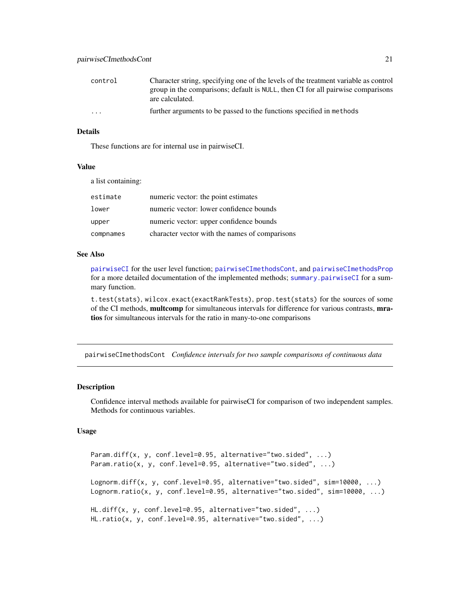<span id="page-20-0"></span>

| control  | Character string, specifying one of the levels of the treatment variable as control |
|----------|-------------------------------------------------------------------------------------|
|          | group in the comparisons; default is NULL, then CI for all pairwise comparisons     |
|          | are calculated.                                                                     |
| $\cdots$ | further arguments to be passed to the functions specified in methods                |

# Details

These functions are for internal use in pairwiseCI.

#### Value

a list containing:

| estimate  | numeric vector: the point estimates            |
|-----------|------------------------------------------------|
| lower     | numeric vector: lower confidence bounds        |
| upper     | numeric vector: upper confidence bounds        |
| compnames | character vector with the names of comparisons |

#### See Also

[pairwiseCI](#page-13-1) for the user level function; [pairwiseCImethodsCont](#page-20-1), and [pairwiseCImethodsProp](#page-25-1) for a more detailed documentation of the implemented methods; [summary.pairwiseCI](#page-45-1) for a summary function.

t.test(stats), wilcox.exact(exactRankTests), prop.test(stats) for the sources of some of the CI methods, multcomp for simultaneous intervals for difference for various contrasts, mratios for simultaneous intervals for the ratio in many-to-one comparisons

<span id="page-20-1"></span>pairwiseCImethodsCont *Confidence intervals for two sample comparisons of continuous data*

# Description

Confidence interval methods available for pairwiseCI for comparison of two independent samples. Methods for continuous variables.

# Usage

```
Param.diff(x, y, conf.level=0.95, alternative="two.sided", ...)
Param.ratio(x, y, conf.level=0.95, alternative="two.sided", ...)
Lognorm.diff(x, y, conf.level=0.95, alternative="two.sided", sim=10000, ...)
Lognorm.ratio(x, y, conf.level=0.95, alternative="two.sided", sim=10000, ...)
HL.diff(x, y, conf.level=0.95, alternative="two.sided", ...)
HL.ratio(x, y, conf.level=0.95, alternative="two.sided", ...)
```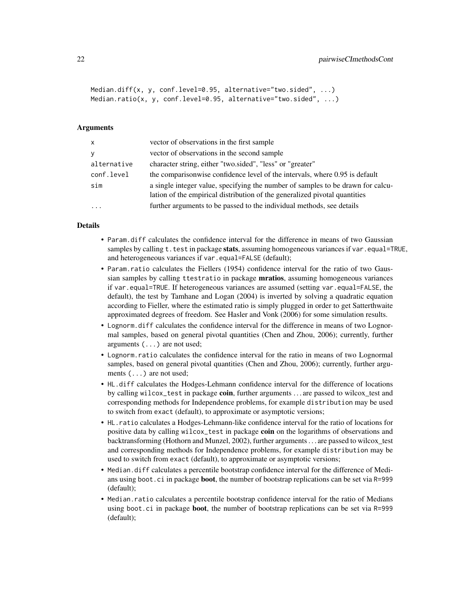```
Median.diff(x, y, conf.level=0.95, alternative="two.sided", ...)
Median.ratio(x, y, conf.level=0.95, alternative="two.sided", ...)
```
#### Arguments

| $\mathsf{x}$ | vector of observations in the first sample                                                                                                                    |
|--------------|---------------------------------------------------------------------------------------------------------------------------------------------------------------|
| <b>y</b>     | vector of observations in the second sample                                                                                                                   |
| alternative  | character string, either "two.sided", "less" or "greater"                                                                                                     |
| conf.level   | the comparisonwise confidence level of the intervals, where 0.95 is default                                                                                   |
| sim          | a single integer value, specifying the number of samples to be drawn for calcu-<br>lation of the empirical distribution of the generalized pivotal quantities |
|              | further arguments to be passed to the individual methods, see details                                                                                         |

#### Details

- Param.diff calculates the confidence interval for the difference in means of two Gaussian samples by calling t, test in package stats, assuming homogeneous variances if var, equal=TRUE, and heterogeneous variances if var.equal=FALSE (default);
- Param.ratio calculates the Fiellers (1954) confidence interval for the ratio of two Gaussian samples by calling ttestratio in package mratios, assuming homogeneous variances if var.equal=TRUE. If heterogeneous variances are assumed (setting var.equal=FALSE, the default), the test by Tamhane and Logan (2004) is inverted by solving a quadratic equation according to Fieller, where the estimated ratio is simply plugged in order to get Satterthwaite approximated degrees of freedom. See Hasler and Vonk (2006) for some simulation results.
- Lognorm.diff calculates the confidence interval for the difference in means of two Lognormal samples, based on general pivotal quantities (Chen and Zhou, 2006); currently, further arguments (...) are not used;
- Lognorm.ratio calculates the confidence interval for the ratio in means of two Lognormal samples, based on general pivotal quantities (Chen and Zhou, 2006); currently, further arguments (...) are not used;
- HL.diff calculates the Hodges-Lehmann confidence interval for the difference of locations by calling wilcox\_test in package coin, further arguments ... are passed to wilcox\_test and corresponding methods for Independence problems, for example distribution may be used to switch from exact (default), to approximate or asymptotic versions;
- HL.ratio calculates a Hodges-Lehmann-like confidence interval for the ratio of locations for positive data by calling wilcox\_test in package coin on the logarithms of observations and backtransforming (Hothorn and Munzel, 2002), further arguments . . . are passed to wilcox\_test and corresponding methods for Independence problems, for example distribution may be used to switch from exact (default), to approximate or asymptotic versions;
- Median.diff calculates a percentile bootstrap confidence interval for the difference of Medians using boot.ci in package boot, the number of bootstrap replications can be set via R=999 (default);
- Median.ratio calculates a percentile bootstrap confidence interval for the ratio of Medians using boot.ci in package **boot**, the number of bootstrap replications can be set via R=999 (default);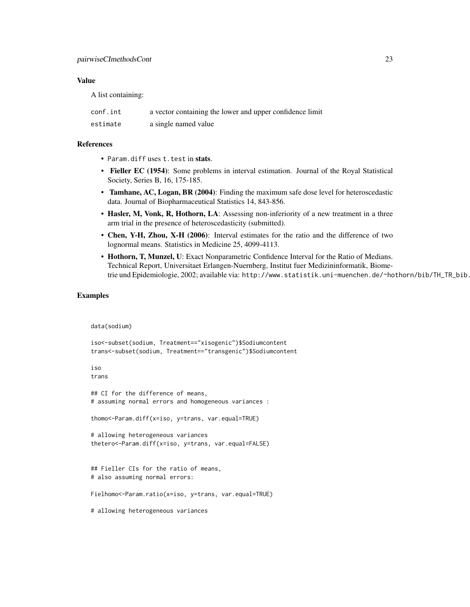# Value

A list containing:

| conf.int | a vector containing the lower and upper confidence limit |
|----------|----------------------------------------------------------|
| estimate | a single named value                                     |

#### References

- Param.diff uses t.test in stats.
- Fieller EC (1954): Some problems in interval estimation. Journal of the Royal Statistical Society, Series B, 16, 175-185.
- Tamhane, AC, Logan, BR (2004): Finding the maximum safe dose level for heteroscedastic data. Journal of Biopharmaceutical Statistics 14, 843-856.
- Hasler, M, Vonk, R, Hothorn, LA: Assessing non-inferiority of a new treatment in a three arm trial in the presence of heteroscedasticity (submitted).
- Chen, Y-H, Zhou, X-H (2006): Interval estimates for the ratio and the difference of two lognormal means. Statistics in Medicine 25, 4099-4113.
- Hothorn, T, Munzel, U: Exact Nonparametric Confidence Interval for the Ratio of Medians. Technical Report, Universitaet Erlangen-Nuernberg, Institut fuer Medizininformatik, Biometrie und Epidemiologie, 2002; available via: http://www.statistik.uni-muenchen.de/~hothorn/bib/TH\_TR\_bib.

# Examples

data(sodium)

```
iso<-subset(sodium, Treatment=="xisogenic")$Sodiumcontent
trans<-subset(sodium, Treatment=="transgenic")$Sodiumcontent
iso
trans
## CI for the difference of means,
# assuming normal errors and homogeneous variances :
thomo<-Param.diff(x=iso, y=trans, var.equal=TRUE)
# allowing heterogeneous variances
thetero<-Param.diff(x=iso, y=trans, var.equal=FALSE)
## Fieller CIs for the ratio of means,
# also assuming normal errors:
Fielhomo<-Param.ratio(x=iso, y=trans, var.equal=TRUE)
# allowing heterogeneous variances
```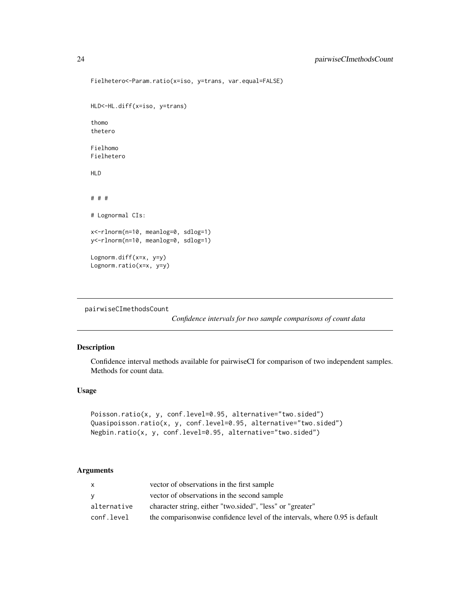```
Fielhetero<-Param.ratio(x=iso, y=trans, var.equal=FALSE)
HLD<-HL.diff(x=iso, y=trans)
thomo
thetero
Fielhomo
Fielhetero
HLD
# # #
# Lognormal CIs:
x<-rlnorm(n=10, meanlog=0, sdlog=1)
y<-rlnorm(n=10, meanlog=0, sdlog=1)
Lognorm.diff(x=x, y=y)
Lognorm.ratio(x=x, y=y)
```

```
pairwiseCImethodsCount
```
*Confidence intervals for two sample comparisons of count data*

# Description

Confidence interval methods available for pairwiseCI for comparison of two independent samples. Methods for count data.

### Usage

```
Poisson.ratio(x, y, conf.level=0.95, alternative="two.sided")
Quasipoisson.ratio(x, y, conf.level=0.95, alternative="two.sided")
Negbin.ratio(x, y, conf.level=0.95, alternative="two.sided")
```

| x.          | vector of observations in the first sample                                  |
|-------------|-----------------------------------------------------------------------------|
| v           | vector of observations in the second sample                                 |
| alternative | character string, either "two.sided", "less" or "greater"                   |
| conf.level  | the comparisonwise confidence level of the intervals, where 0.95 is default |

<span id="page-23-0"></span>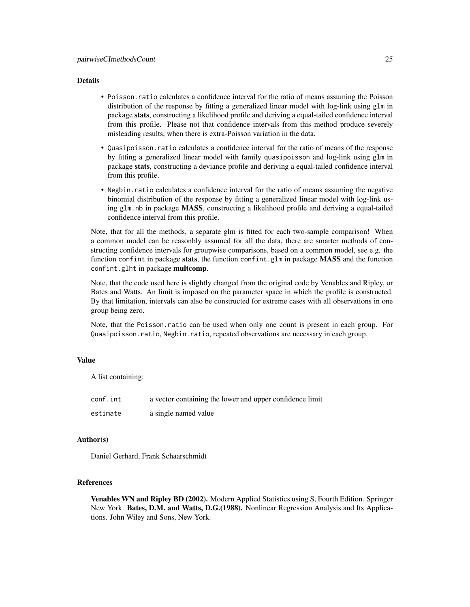### Details

- Poisson.ratio calculates a confidence interval for the ratio of means assuming the Poisson distribution of the response by fitting a generalized linear model with log-link using glm in package stats, constructing a likelihood profile and deriving a equal-tailed confidence interval from this profile. Please not that confidence intervals from this method produce severely misleading results, when there is extra-Poisson variation in the data.
- Quasipoisson.ratio calculates a confidence interval for the ratio of means of the response by fitting a generalized linear model with family quasipoisson and log-link using glm in package stats, constructing a deviance profile and deriving a equal-tailed confidence interval from this profile.
- Negbin.ratio calculates a confidence interval for the ratio of means assuming the negative binomial distribution of the response by fitting a generalized linear model with log-link using glm.nb in package MASS, constructing a likelihood profile and deriving a equal-tailed confidence interval from this profile.

Note, that for all the methods, a separate glm is fitted for each two-sample comparison! When a common model can be reasonbly assumed for all the data, there are smarter methods of constructing confidence intervals for groupwise comparisons, based on a common model, see e.g. the function confint in package stats, the function confint.glm in package MASS and the function confint.glht in package multcomp.

Note, that the code used here is slightly changed from the original code by Venables and Ripley, or Bates and Watts. An limit is imposed on the parameter space in which the profile is constructed. By that limitation, intervals can also be constructed for extreme cases with all observations in one group being zero.

Note, that the Poisson.ratio can be used when only one count is present in each group. For Quasipoisson.ratio, Negbin.ratio, repeated observations are necessary in each group.

#### Value

A list containing:

| conf.int | a vector containing the lower and upper confidence limit |
|----------|----------------------------------------------------------|
| estimate | a single named value                                     |

#### Author(s)

Daniel Gerhard, Frank Schaarschmidt

#### References

Venables WN and Ripley BD (2002). Modern Applied Statistics using S, Fourth Edition. Springer New York. Bates, D.M. and Watts, D.G. (1988). Nonlinear Regression Analysis and Its Applications. John Wiley and Sons, New York.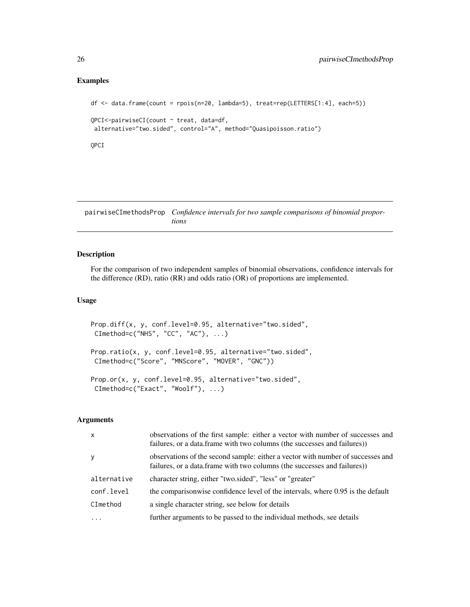### <span id="page-25-0"></span>Examples

```
df <- data.frame(count = rpois(n=20, lambda=5), treat=rep(LETTERS[1:4], each=5))
QPCI<-pairwiseCI(count ~ treat, data=df,
 alternative="two.sided", control="A", method="Quasipoisson.ratio")
QPCI
```
<span id="page-25-1"></span>pairwiseCImethodsProp *Confidence intervals for two sample comparisons of binomial proportions*

# Description

For the comparison of two independent samples of binomial observations, confidence intervals for the difference (RD), ratio (RR) and odds ratio (OR) of proportions are implemented.

# Usage

```
Prop.diff(x, y, conf.level=0.95, alternative="two.sided",
CImethod=c("NHS", "CC", "AC"), ...)
Prop.ratio(x, y, conf.level=0.95, alternative="two.sided",
CImethod=c("Score", "MNScore", "MOVER", "GNC"))
Prop.or(x, y, conf.level=0.95, alternative="two.sided",
CImethod=c("Exact", "Woolf"), ...)
```

| $\mathsf{x}$ | observations of the first sample: either a vector with number of successes and<br>failures, or a data.frame with two columns (the successes and failures))  |
|--------------|-------------------------------------------------------------------------------------------------------------------------------------------------------------|
| y            | observations of the second sample: either a vector with number of successes and<br>failures, or a data.frame with two columns (the successes and failures)) |
| alternative  | character string, either "two.sided", "less" or "greater"                                                                                                   |
| conf.level   | the comparisonwise confidence level of the intervals, where 0.95 is the default                                                                             |
| CImethod     | a single character string, see below for details                                                                                                            |
| $\ddots$     | further arguments to be passed to the individual methods, see details                                                                                       |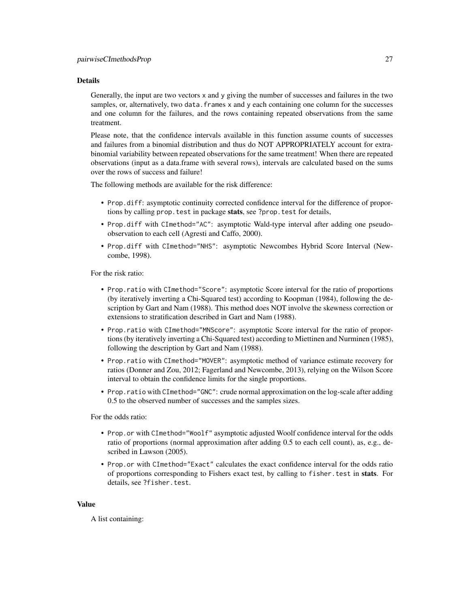#### Details

Generally, the input are two vectors x and y giving the number of successes and failures in the two samples, or, alternatively, two data. frames x and y each containing one column for the successes and one column for the failures, and the rows containing repeated observations from the same treatment.

Please note, that the confidence intervals available in this function assume counts of successes and failures from a binomial distribution and thus do NOT APPROPRIATELY account for extrabinomial variability between repeated observations for the same treatment! When there are repeated observations (input as a data.frame with several rows), intervals are calculated based on the sums over the rows of success and failure!

The following methods are available for the risk difference:

- Prop.diff: asymptotic continuity corrected confidence interval for the difference of proportions by calling prop. test in package stats, see ?prop. test for details,
- Prop.diff with CImethod="AC": asymptotic Wald-type interval after adding one pseudoobservation to each cell (Agresti and Caffo, 2000).
- Prop.diff with CImethod="NHS": asymptotic Newcombes Hybrid Score Interval (Newcombe, 1998).

For the risk ratio:

- Prop.ratio with CImethod="Score": asymptotic Score interval for the ratio of proportions (by iteratively inverting a Chi-Squared test) according to Koopman (1984), following the description by Gart and Nam (1988). This method does NOT involve the skewness correction or extensions to stratification described in Gart and Nam (1988).
- Prop.ratio with CImethod="MNScore": asymptotic Score interval for the ratio of proportions (by iteratively inverting a Chi-Squared test) according to Miettinen and Nurminen (1985), following the description by Gart and Nam (1988).
- Prop.ratio with CImethod="MOVER": asymptotic method of variance estimate recovery for ratios (Donner and Zou, 2012; Fagerland and Newcombe, 2013), relying on the Wilson Score interval to obtain the confidence limits for the single proportions.
- Prop.ratio with CImethod="GNC": crude normal approximation on the log-scale after adding 0.5 to the observed number of successes and the samples sizes.

For the odds ratio:

- Prop.or with CImethod="Woolf" asymptotic adjusted Woolf confidence interval for the odds ratio of proportions (normal approximation after adding 0.5 to each cell count), as, e.g., described in Lawson (2005).
- Prop.or with CImethod="Exact" calculates the exact confidence interval for the odds ratio of proportions corresponding to Fishers exact test, by calling to fisher.test in stats. For details, see ?fisher.test.

#### Value

A list containing: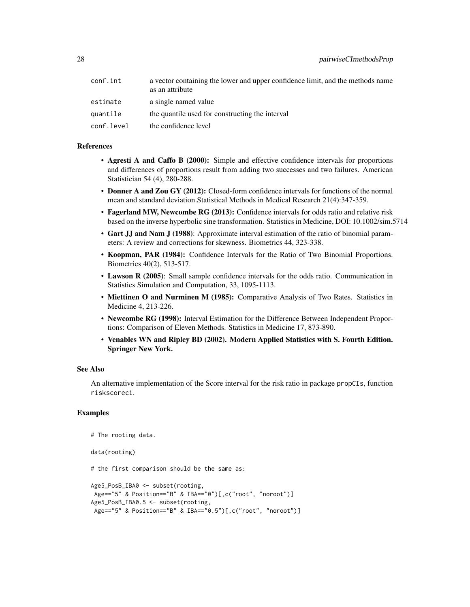| conf.int   | a vector containing the lower and upper confidence limit, and the methods name<br>as an attribute |
|------------|---------------------------------------------------------------------------------------------------|
| estimate   | a single named value                                                                              |
| quantile   | the quantile used for constructing the interval                                                   |
| conf.level | the confidence level                                                                              |

# References

- Agresti A and Caffo B (2000): Simple and effective confidence intervals for proportions and differences of proportions result from adding two successes and two failures. American Statistician 54 (4), 280-288.
- Donner A and Zou GY (2012): Closed-form confidence intervals for functions of the normal mean and standard deviation.Statistical Methods in Medical Research 21(4):347-359.
- Fagerland MW, Newcombe RG (2013): Confidence intervals for odds ratio and relative risk based on the inverse hyperbolic sine transformation. Statistics in Medicine, DOI: 10.1002/sim.5714
- Gart JJ and Nam J (1988): Approximate interval estimation of the ratio of binomial parameters: A review and corrections for skewness. Biometrics 44, 323-338.
- Koopman, PAR (1984): Confidence Intervals for the Ratio of Two Binomial Proportions. Biometrics 40(2), 513-517.
- Lawson R (2005): Small sample confidence intervals for the odds ratio. Communication in Statistics Simulation and Computation, 33, 1095-1113.
- Miettinen O and Nurminen M (1985): Comparative Analysis of Two Rates. Statistics in Medicine 4, 213-226.
- Newcombe RG (1998): Interval Estimation for the Difference Between Independent Proportions: Comparison of Eleven Methods. Statistics in Medicine 17, 873-890.
- Venables WN and Ripley BD (2002). Modern Applied Statistics with S. Fourth Edition. Springer New York.

#### See Also

An alternative implementation of the Score interval for the risk ratio in package propCIs, function riskscoreci.

#### Examples

```
# The rooting data.
data(rooting)
# the first comparison should be the same as:
Age5_PosB_IBA0 <- subset(rooting,
Age=="5" & Position=="B" & IBA=="0")[,c("root", "noroot")]
Age5_PosB_IBA0.5 <- subset(rooting,
Age=="5" & Position=="B" & IBA=="0.5")[,c("root", "noroot")]
```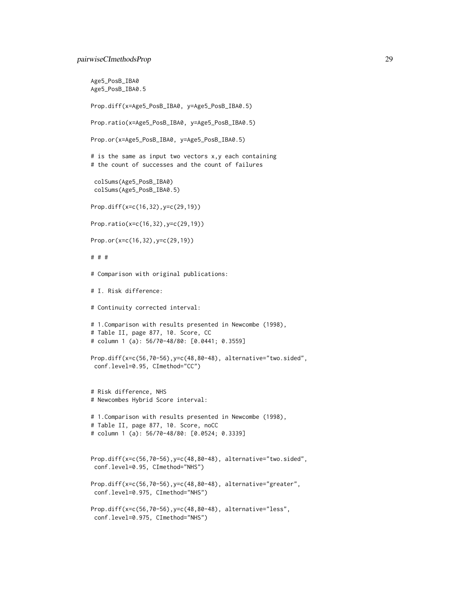#### pairwiseCImethodsProp 29

```
Age5_PosB_IBA0
Age5_PosB_IBA0.5
Prop.diff(x=Age5_PosB_IBA0, y=Age5_PosB_IBA0.5)
Prop.ratio(x=Age5_PosB_IBA0, y=Age5_PosB_IBA0.5)
Prop.or(x=Age5_PosB_IBA0, y=Age5_PosB_IBA0.5)
# is the same as input two vectors x,y each containing
# the count of successes and the count of failures
 colSums(Age5_PosB_IBA0)
 colSums(Age5_PosB_IBA0.5)
Prop.diff(x=c(16,32),y=c(29,19))
Prop.ratio(x=c(16,32),y=c(29,19))
Prop.or(x=c(16,32),y=c(29,19))
# # #
# Comparison with original publications:
# I. Risk difference:
# Continuity corrected interval:
# 1.Comparison with results presented in Newcombe (1998),
# Table II, page 877, 10. Score, CC
# column 1 (a): 56/70-48/80: [0.0441; 0.3559]
Prop.diff(x=c(56,70-56),y=c(48,80-48), alternative="two.sided",
conf.level=0.95, CImethod="CC")
# Risk difference, NHS
# Newcombes Hybrid Score interval:
# 1.Comparison with results presented in Newcombe (1998),
# Table II, page 877, 10. Score, noCC
# column 1 (a): 56/70-48/80: [0.0524; 0.3339]
Prop.diff(x=c(56,70-56),y=c(48,80-48), alternative="two.sided",
conf.level=0.95, CImethod="NHS")
Prop.diff(x=c(56,70-56),y=c(48,80-48), alternative="greater",
 conf.level=0.975, CImethod="NHS")
Prop.diff(x=c(56,70-56),y=c(48,80-48), alternative="less",
 conf.level=0.975, CImethod="NHS")
```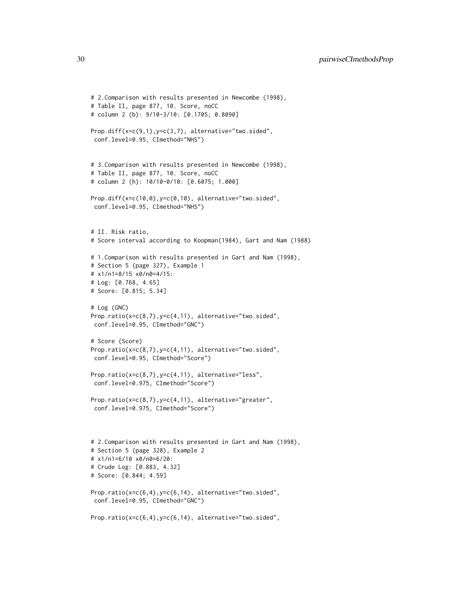```
# 2.Comparison with results presented in Newcombe (1998),
# Table II, page 877, 10. Score, noCC
# column 2 (b): 9/10-3/10: [0.1705; 0.8090]
Prop.diff(x=c(9,1),y=c(3,7), alternative="two.sided",
conf.level=0.95, CImethod="NHS")
# 3.Comparison with results presented in Newcombe (1998),
# Table II, page 877, 10. Score, noCC
# column 2 (h): 10/10-0/10: [0.6075; 1.000]
Prop.diff(x=c(10,0),y=c(0,10), alternative="two.sided",
conf.level=0.95, CImethod="NHS")
# II. Risk ratio,
# Score interval according to Koopman(1984), Gart and Nam (1988)
# 1.Comparison with results presented in Gart and Nam (1998),
# Section 5 (page 327), Example 1
# x1/n1=8/15 x0/n0=4/15:
# Log: [0.768, 4.65]
# Score: [0.815; 5.34]
# Log (GNC)
Prop.ratio(x=c(8,7),y=c(4,11), alternative="two.sided",
conf.level=0.95, CImethod="GNC")
# Score (Score)
Prop.ratio(x=c(8,7),y=c(4,11), alternative="two.sided",
conf.level=0.95, CImethod="Score")
Prop.ratio(x=c(8,7),y=c(4,11), alternative="less",
 conf.level=0.975, CImethod="Score")
Prop.ratio(x=c(8,7),y=c(4,11), alternative="greater",
 conf.level=0.975, CImethod="Score")
# 2.Comparison with results presented in Gart and Nam (1998),
# Section 5 (page 328), Example 2
# x1/n1=6/10 x0/n0=6/20:
# Crude Log: [0.883, 4.32]
# Score: [0.844; 4.59]
Prop.ratio(x=c(6,4),y=c(6,14), alternative="two.sided",
conf.level=0.95, CImethod="GNC")
Prop.ratio(x=c(6,4),y=c(6,14), alternative="two.sided",
```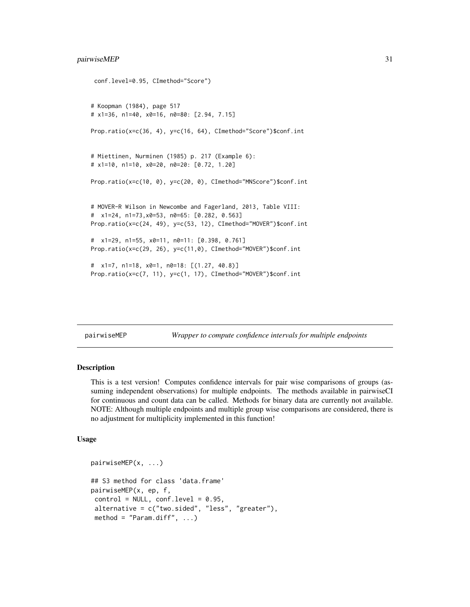```
conf.level=0.95, CImethod="Score")
# Koopman (1984), page 517
# x1=36, n1=40, x0=16, n0=80: [2.94, 7.15]
Prop.ratio(x=c(36, 4), y=c(16, 64), CImethod="Score")$conf.int
# Miettinen, Nurminen (1985) p. 217 (Example 6):
# x1=10, n1=10, x0=20, n0=20: [0.72, 1.20]
Prop.ratio(x=c(10, 0), y=c(20, 0), CImethod="MNScore")$conf.int
# MOVER-R Wilson in Newcombe and Fagerland, 2013, Table VIII:
# x1=24, n1=73,x0=53, n0=65: [0.282, 0.563]
Prop.ratio(x=c(24, 49), y=c(53, 12), CImethod="MOVER")$conf.int
# x1=29, n1=55, x0=11, n0=11: [0.398, 0.761]
Prop.ratio(x=c(29, 26), y=c(11,0), CImethod="MOVER")$conf.int
# x1=7, n1=18, x0=1, n0=18: [(1.27, 40.8)]
Prop.ratio(x=c(7, 11), y=c(1, 17), CImethod="MOVER")$conf.int
```
<span id="page-30-1"></span>pairwiseMEP *Wrapper to compute confidence intervals for multiple endpoints*

#### **Description**

This is a test version! Computes confidence intervals for pair wise comparisons of groups (assuming independent observations) for multiple endpoints. The methods available in pairwiseCI for continuous and count data can be called. Methods for binary data are currently not available. NOTE: Although multiple endpoints and multiple group wise comparisons are considered, there is no adjustment for multiplicity implemented in this function!

### Usage

```
pairwiseMEP(x, ...)
## S3 method for class 'data.frame'
pairwiseMEP(x, ep, f,
control = NULL, conf.level = 0.95,alternative = c("two.sided", "less", "greater"),
method = "Param.diff", ...)
```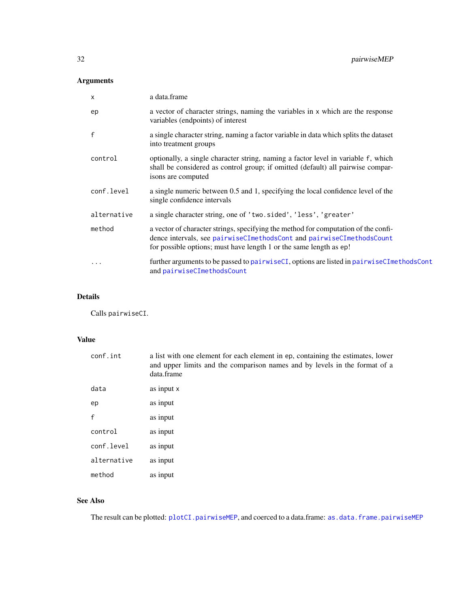# <span id="page-31-0"></span>Arguments

| $\boldsymbol{\mathsf{x}}$ | a data.frame                                                                                                                                                                                                                      |
|---------------------------|-----------------------------------------------------------------------------------------------------------------------------------------------------------------------------------------------------------------------------------|
| ep                        | a vector of character strings, naming the variables in x which are the response<br>variables (endpoints) of interest                                                                                                              |
| f                         | a single character string, naming a factor variable in data which splits the dataset<br>into treatment groups                                                                                                                     |
| control                   | optionally, a single character string, naming a factor level in variable f, which<br>shall be considered as control group; if omitted (default) all pairwise compar-<br>isons are computed                                        |
| conf.level                | a single numeric between 0.5 and 1, specifying the local confidence level of the<br>single confidence intervals                                                                                                                   |
| alternative               | a single character string, one of 'two.sided', 'less', 'greater'                                                                                                                                                                  |
| method                    | a vector of character strings, specifying the method for computation of the confi-<br>dence intervals, see pairwiseCImethodsCont and pairwiseCImethodsCount<br>for possible options; must have length 1 or the same length as ep! |
| .                         | further arguments to be passed to pairwiseCI, options are listed in pairwiseCImethodsCont<br>and pairwiseCImethodsCount                                                                                                           |

# Details

Calls pairwiseCI.

# Value

| conf.int    | a list with one element for each element in ep, containing the estimates, lower<br>and upper limits and the comparison names and by levels in the format of a<br>data.frame |
|-------------|-----------------------------------------------------------------------------------------------------------------------------------------------------------------------------|
| data        | as input x                                                                                                                                                                  |
| ep          | as input                                                                                                                                                                    |
| f           | as input                                                                                                                                                                    |
| control     | as input                                                                                                                                                                    |
| conf.level  | as input                                                                                                                                                                    |
| alternative | as input                                                                                                                                                                    |
| method      | as input                                                                                                                                                                    |

# See Also

The result can be plotted: [plotCI.pairwiseMEP](#page-37-1), and coerced to a data.frame: [as.data.frame.pairwiseMEP](#page-4-1)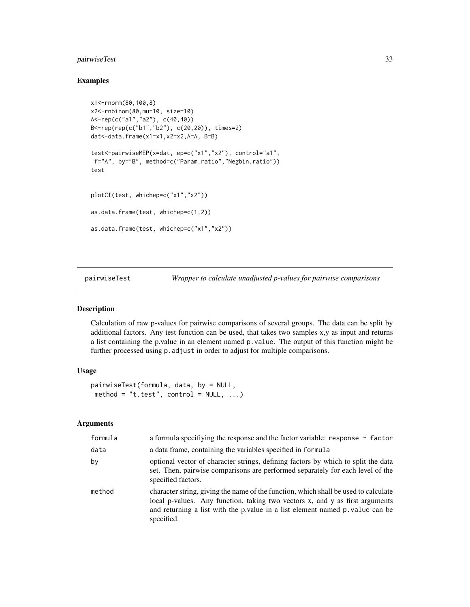# <span id="page-32-0"></span>pairwiseTest 33

#### Examples

```
x1<-rnorm(80,100,8)
x2<-rnbinom(80,mu=10, size=10)
A<-rep(c("a1","a2"), c(40,40))
B<-rep(rep(c("b1","b2"), c(20,20)), times=2)
dat<-data.frame(x1=x1,x2=x2,A=A, B=B)
test<-pairwiseMEP(x=dat, ep=c("x1","x2"), control="a1",
 f="A", by="B", method=c("Param.ratio","Negbin.ratio"))
test
plotCI(test, whichep=c("x1","x2"))
as.data.frame(test, whichep=c(1,2))
as.data.frame(test, whichep=c("x1","x2"))
```
<span id="page-32-1"></span>pairwiseTest *Wrapper to calculate unadjusted p-values for pairwise comparisons*

#### Description

Calculation of raw p-values for pairwise comparisons of several groups. The data can be split by additional factors. Any test function can be used, that takes two samples x,y as input and returns a list containing the p.value in an element named p.value. The output of this function might be further processed using p. adjust in order to adjust for multiple comparisons.

# Usage

```
pairwiseTest(formula, data, by = NULL,
method = "t.test", control = NULL, ...)
```

| formula | a formula specifiying the response and the factor variable: response $\sim$ factor                                                                                                                                                                                  |
|---------|---------------------------------------------------------------------------------------------------------------------------------------------------------------------------------------------------------------------------------------------------------------------|
| data    | a data frame, containing the variables specified in formula                                                                                                                                                                                                         |
| by      | optional vector of character strings, defining factors by which to split the data<br>set. Then, pairwise comparisons are performed separately for each level of the<br>specified factors.                                                                           |
| method  | character string, giving the name of the function, which shall be used to calculate<br>local p-values. Any function, taking two vectors x, and y as first arguments<br>and returning a list with the p. value in a list element named p. value can be<br>specified. |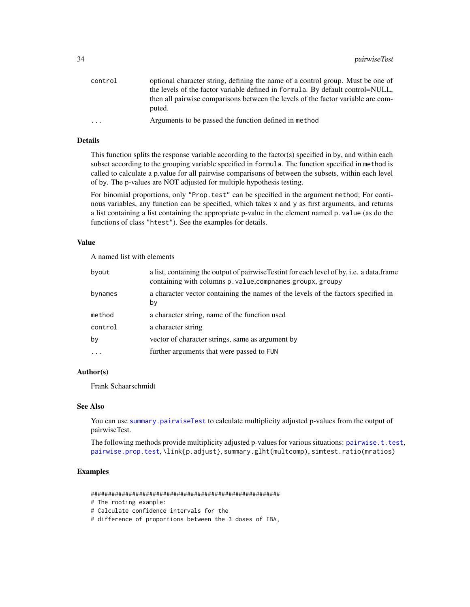<span id="page-33-0"></span>

| control                 | optional character string, defining the name of a control group. Must be one of            |
|-------------------------|--------------------------------------------------------------------------------------------|
|                         | the levels of the factor variable defined in formula. By default control=NULL,             |
|                         | then all pairwise comparisons between the levels of the factor variable are com-<br>puted. |
|                         |                                                                                            |
| $\cdot$ $\cdot$ $\cdot$ | Arguments to be passed the function defined in method                                      |

# Details

This function splits the response variable according to the factor(s) specified in by, and within each subset according to the grouping variable specified in formula. The function specified in method is called to calculate a p.value for all pairwise comparisons of between the subsets, within each level of by. The p-values are NOT adjusted for multiple hypothesis testing.

For binomial proportions, only "Prop.test" can be specified in the argument method; For continous variables, any function can be specified, which takes x and y as first arguments, and returns a list containing a list containing the appropriate p-value in the element named p.value (as do the functions of class "htest"). See the examples for details.

#### Value

A named list with elements

| byout   | a list, containing the output of pairwise Testint for each level of by, i.e. a data frame<br>containing with columns p. value, compnames groupx, groupy |
|---------|---------------------------------------------------------------------------------------------------------------------------------------------------------|
| bynames | a character vector containing the names of the levels of the factors specified in<br>by                                                                 |
| method  | a character string, name of the function used                                                                                                           |
| control | a character string                                                                                                                                      |
| by      | vector of character strings, same as argument by                                                                                                        |
| $\cdot$ | further arguments that were passed to FUN                                                                                                               |

#### Author(s)

Frank Schaarschmidt

#### See Also

You can use [summary.pairwiseTest](#page-46-1) to calculate multiplicity adjusted p-values from the output of pairwiseTest.

The following methods provide multiplicity adjusted p-values for various situations: [pairwise.t.test](#page-0-0), [pairwise.prop.test](#page-0-0), \link{p.adjust}, summary.glht(multcomp), simtest.ratio(mratios)

# Examples

#######################################################

```
# The rooting example:
```
# Calculate confidence intervals for the

# difference of proportions between the 3 doses of IBA,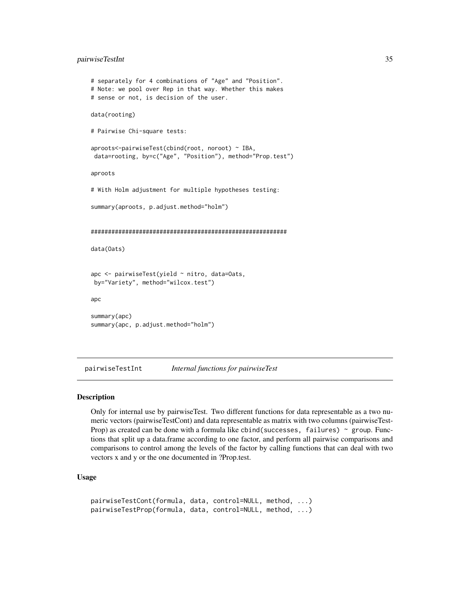#### <span id="page-34-0"></span>pairwiseTestInt 35

```
# separately for 4 combinations of "Age" and "Position".
# Note: we pool over Rep in that way. Whether this makes
# sense or not, is decision of the user.
data(rooting)
# Pairwise Chi-square tests:
aproots<-pairwiseTest(cbind(root, noroot) ~ IBA,
data=rooting, by=c("Age", "Position"), method="Prop.test")
aproots
# With Holm adjustment for multiple hypotheses testing:
summary(aproots, p.adjust.method="holm")
#########################################################
data(Oats)
apc <- pairwiseTest(yield ~ nitro, data=Oats,
by="Variety", method="wilcox.test")
apc
summary(apc)
summary(apc, p.adjust.method="holm")
```
pairwiseTestInt *Internal functions for pairwiseTest*

#### Description

Only for internal use by pairwiseTest. Two different functions for data representable as a two numeric vectors (pairwiseTestCont) and data representable as matrix with two columns (pairwiseTest-Prop) as created can be done with a formula like cbind(successes, failures)  $\sim$  group. Functions that split up a data.frame according to one factor, and perform all pairwise comparisons and comparisons to control among the levels of the factor by calling functions that can deal with two vectors x and y or the one documented in ?Prop.test.

#### Usage

```
pairwiseTestCont(formula, data, control=NULL, method, ...)
pairwiseTestProp(formula, data, control=NULL, method, ...)
```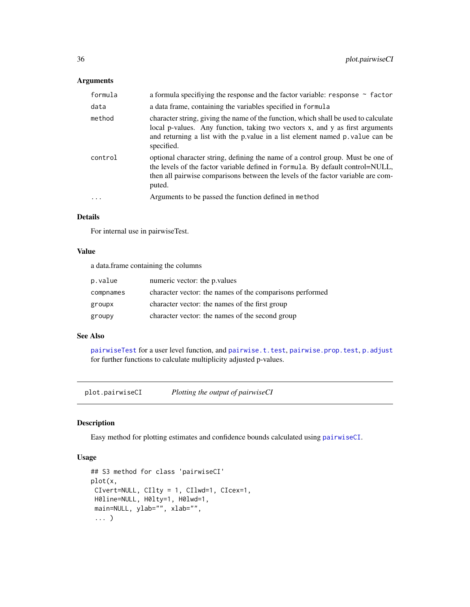# <span id="page-35-0"></span>Arguments

| formula | a formula specifiying the response and the factor variable: response $\sim$ factor                                                                                                                                                                                |
|---------|-------------------------------------------------------------------------------------------------------------------------------------------------------------------------------------------------------------------------------------------------------------------|
| data    | a data frame, containing the variables specified in formula                                                                                                                                                                                                       |
| method  | character string, giving the name of the function, which shall be used to calculate<br>local p-values. Any function, taking two vectors x, and y as first arguments<br>and returning a list with the p value in a list element named p value can be<br>specified. |
| control | optional character string, defining the name of a control group. Must be one of<br>the levels of the factor variable defined in formula. By default control=NULL,<br>then all pairwise comparisons between the levels of the factor variable are com-<br>puted.   |
|         | Arguments to be passed the function defined in method                                                                                                                                                                                                             |

# Details

For internal use in pairwiseTest.

#### Value

a data.frame containing the columns

| p.value   | numeric vector: the p. values                            |
|-----------|----------------------------------------------------------|
| compnames | character vector: the names of the comparisons performed |
| groupx    | character vector: the names of the first group           |
| groupy    | character vector: the names of the second group          |

#### See Also

[pairwiseTest](#page-32-1) for a user level function, and [pairwise.t.test](#page-0-0), [pairwise.prop.test](#page-0-0), [p.adjust](#page-0-0) for further functions to calculate multiplicity adjusted p-values.

<span id="page-35-1"></span>plot.pairwiseCI *Plotting the output of pairwiseCI*

# Description

Easy method for plotting estimates and confidence bounds calculated using [pairwiseCI](#page-13-1).

### Usage

```
## S3 method for class 'pairwiseCI'
plot(x,
CIvert=NULL, CIlty = 1, CIlwd=1, CIcex=1,
H0line=NULL, H0lty=1, H0lwd=1,
main=NULL, ylab="", xlab="",
 ... )
```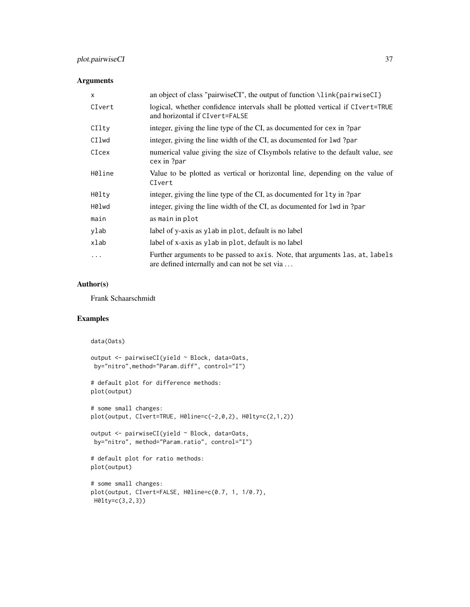# plot.pairwiseCI 37

# Arguments

| $\mathsf{x}$ | an object of class "pairwise CI", the output of function $\lambda$ link {pairwise CI}                                         |
|--------------|-------------------------------------------------------------------------------------------------------------------------------|
| CIvert       | logical, whether confidence intervals shall be plotted vertical if CIvert=TRUE<br>and horizontal if CIvert=FALSE              |
| CIlty        | integer, giving the line type of the CI, as documented for cex in ?par                                                        |
| CIlwd        | integer, giving the line width of the CI, as documented for 1wd?par                                                           |
| CIcex        | numerical value giving the size of CIsymbols relative to the default value, see<br>cex in ?par                                |
| H0line       | Value to be plotted as vertical or horizontal line, depending on the value of<br>CIvert                                       |
| H0lty        | integer, giving the line type of the CI, as documented for 1 ty in ?par                                                       |
| H0lwd        | integer, giving the line width of the CI, as documented for 1wd in ?par                                                       |
| main         | as main in plot                                                                                                               |
| ylab         | label of y-axis as y lab in plot, default is no label                                                                         |
| xlab         | label of x-axis as ylab in plot, default is no label                                                                          |
| .            | Further arguments to be passed to axis. Note, that arguments las, at, labels<br>are defined internally and can not be set via |

# Author(s)

Frank Schaarschmidt

# Examples

```
data(Oats)
output <- pairwiseCI(yield ~ Block, data=Oats,
by="nitro",method="Param.diff", control="I")
# default plot for difference methods:
plot(output)
# some small changes:
plot(output, CIvert=TRUE, H0line=c(-2,0,2), H0lty=c(2,1,2))
output <- pairwiseCI(yield ~ Block, data=Oats,
by="nitro", method="Param.ratio", control="I")
# default plot for ratio methods:
plot(output)
# some small changes:
plot(output, CIvert=FALSE, H0line=c(0.7, 1, 1/0.7),
H0lty=c(3,2,3))
```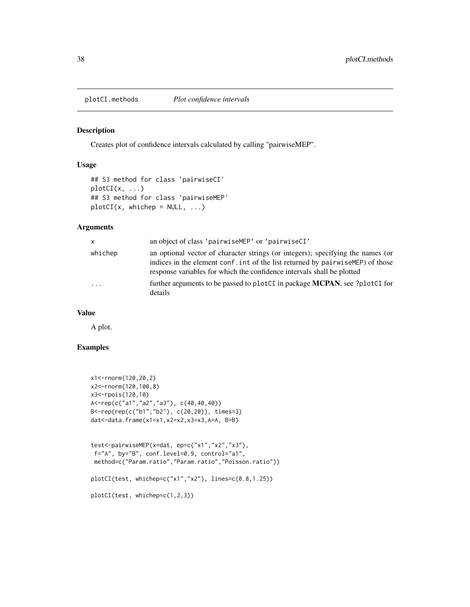<span id="page-37-0"></span>

# <span id="page-37-1"></span>Description

Creates plot of confidence intervals calculated by calling "pairwiseMEP".

# Usage

```
## S3 method for class 'pairwiseCI'
plotCI(x, ...)
## S3 method for class 'pairwiseMEP'
plotCI(x, whichep = NULL, ...)
```
# Arguments

| $\mathsf{x}$            | an object of class 'pairwiseMEP' or 'pairwiseCI'                                                                                                                                                                                             |
|-------------------------|----------------------------------------------------------------------------------------------------------------------------------------------------------------------------------------------------------------------------------------------|
| whichep                 | an optional vector of character strings (or integers); specifying the names (or<br>indices in the element conf. int of the list returned by pairwise MEP) of those<br>response variables for which the confidence intervals shall be plotted |
| $\cdot$ $\cdot$ $\cdot$ | further arguments to be passed to plotCI in package MCPAN, see ?plotCI for<br>details                                                                                                                                                        |

# Value

A plot.

# Examples

```
x1<-rnorm(120,20,2)
x2<-rnorm(120,100,8)
x3<-rpois(120,10)
A<-rep(c("a1","a2","a3"), c(40,40,40))
B<-rep(rep(c("b1","b2"), c(20,20)), times=3)
dat<-data.frame(x1=x1,x2=x2,x3=x3,A=A, B=B)
test<-pairwiseMEP(x=dat, ep=c("x1","x2","x3"),
 f="A", by="B", conf.level=0.9, control="a1",
 method=c("Param.ratio","Param.ratio","Poisson.ratio"))
plotCI(test, whichep=c("x1","x2"), lines=c(0.8,1.25))
plotCI(test, whichep=c(1,2,3))
```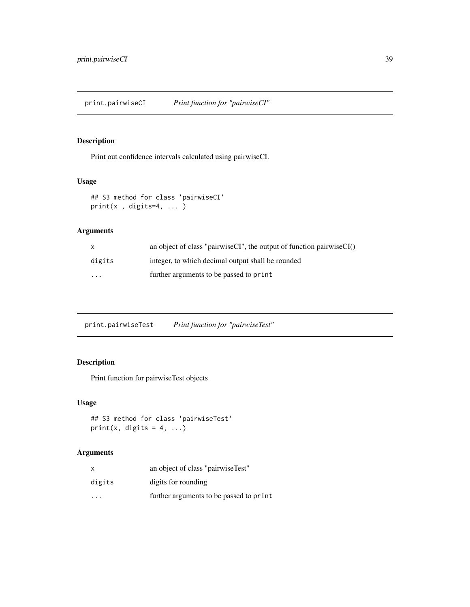<span id="page-38-1"></span><span id="page-38-0"></span>print.pairwiseCI *Print function for "pairwiseCI"*

# Description

Print out confidence intervals calculated using pairwiseCI.

# Usage

```
## S3 method for class 'pairwiseCI'
print(x , digits=4, ... )
```
# Arguments

| X        | an object of class "pairwise $CI$ ", the output of function pairwise $CI()$ |
|----------|-----------------------------------------------------------------------------|
| digits   | integer, to which decimal output shall be rounded                           |
| $\cdots$ | further arguments to be passed to print                                     |

print.pairwiseTest *Print function for "pairwiseTest"*

# Description

Print function for pairwiseTest objects

# Usage

```
## S3 method for class 'pairwiseTest'
print(x, digits = 4, ...)
```

| x                       | an object of class "pairwise Test"      |
|-------------------------|-----------------------------------------|
| digits                  | digits for rounding                     |
| $\cdot$ $\cdot$ $\cdot$ | further arguments to be passed to print |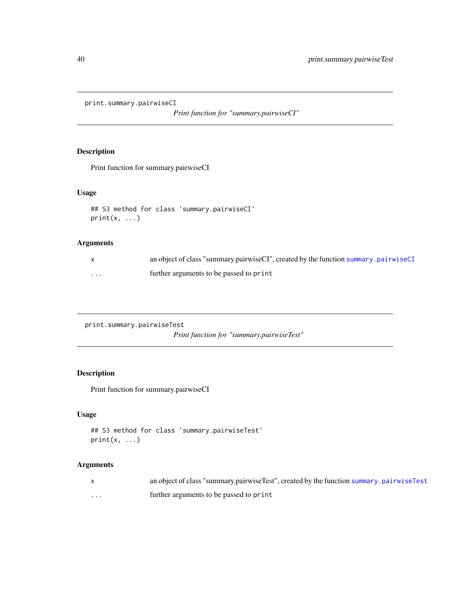<span id="page-39-0"></span>print.summary.pairwiseCI

*Print function for "summary.pairwiseCI"*

# Description

Print function for summary.pairwiseCI

# Usage

```
## S3 method for class 'summary.pairwiseCI'
print(x, \ldots)
```
# Arguments

|   | an object of class "summary.pairwiseCI", created by the function summary.pairwiseCI |
|---|-------------------------------------------------------------------------------------|
| . | further arguments to be passed to print                                             |

```
print.summary.pairwiseTest
```
*Print function for "summary.pairwiseTest"*

# Description

Print function for summary.pairwiseCI

# Usage

```
## S3 method for class 'summary.pairwiseTest'
print(x, \ldots)
```

|   | an object of class "summary.pairwise Test", created by the function summary.pairwise Test |
|---|-------------------------------------------------------------------------------------------|
| . | further arguments to be passed to print                                                   |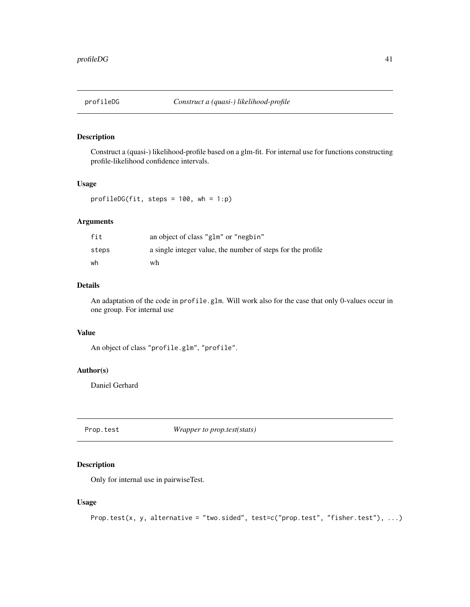<span id="page-40-0"></span>

# Description

Construct a (quasi-) likelihood-profile based on a glm-fit. For internal use for functions constructing profile-likelihood confidence intervals.

#### Usage

profileDG(fit, steps =  $100$ , wh =  $1:p$ )

# Arguments

| fit   | an object of class "glm" or "negbin"                        |
|-------|-------------------------------------------------------------|
| steps | a single integer value, the number of steps for the profile |
| wh    | wh                                                          |

#### Details

An adaptation of the code in profile.glm. Will work also for the case that only 0-values occur in one group. For internal use

# Value

An object of class "profile.glm", "profile".

# Author(s)

Daniel Gerhard

Prop.test *Wrapper to prop.test(stats)*

#### Description

Only for internal use in pairwiseTest.

# Usage

```
Prop.test(x, y, alternative = "two.sided", test=c("prop.test", "fisher.test"), ...)
```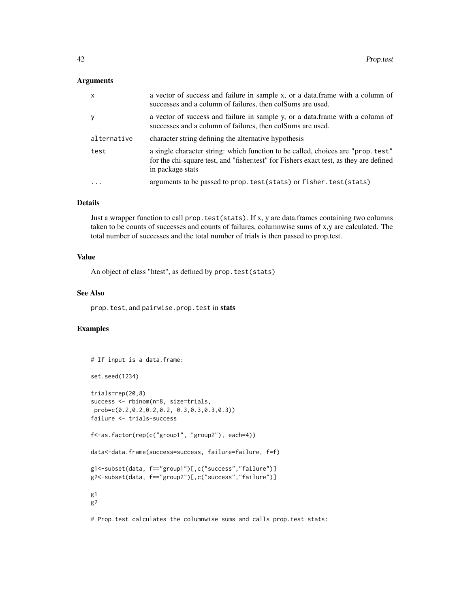#### Arguments

| $\mathsf{x}$ | a vector of success and failure in sample x, or a data.frame with a column of<br>successes and a column of failures, then colsums are used.                                                    |
|--------------|------------------------------------------------------------------------------------------------------------------------------------------------------------------------------------------------|
| y            | a vector of success and failure in sample y, or a data frame with a column of<br>successes and a column of failures, then colsums are used.                                                    |
| alternative  | character string defining the alternative hypothesis                                                                                                                                           |
| test         | a single character string: which function to be called, choices are "prop. test"<br>for the chi-square test, and "fisher.test" for Fishers exact test, as they are defined<br>in package stats |
|              | arguments to be passed to prop. test (stats) or fisher. test (stats)                                                                                                                           |

#### Details

Just a wrapper function to call prop. test(stats). If x, y are data.frames containing two columns taken to be counts of successes and counts of failures, columnwise sums of x,y are calculated. The total number of successes and the total number of trials is then passed to prop.test.

# Value

An object of class "htest", as defined by prop.test(stats)

#### See Also

prop.test, and pairwise.prop.test in stats

# Examples

```
# If input is a data.frame:
set.seed(1234)
trials=rep(20,8)
success <- rbinom(n=8, size=trials,
prob=c(0.2,0.2,0.2,0.2, 0.3,0.3,0.3,0.3))
failure <- trials-success
f<-as.factor(rep(c("group1", "group2"), each=4))
data<-data.frame(success=success, failure=failure, f=f)
g1<-subset(data, f=="group1")[,c("success","failure")]
g2<-subset(data, f=="group2")[,c("success","failure")]
g1
g2
```
# Prop.test calculates the columnwise sums and calls prop.test stats: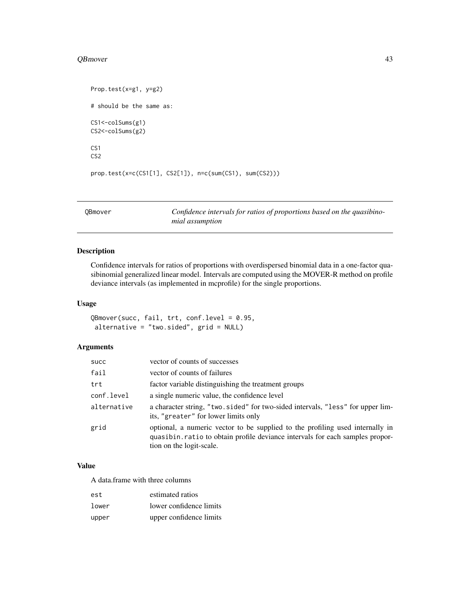#### <span id="page-42-0"></span>QBmover 43

```
Prop.test(x=g1, y=g2)
# should be the same as:
CS1<-colSums(g1)
CS2<-colSums(g2)
CS1
CS2
prop.test(x=c(CS1[1], CS2[1]), n=c(sum(CS1), sum(CS2)))
```
QBmover *Confidence intervals for ratios of proportions based on the quasibinomial assumption*

# Description

Confidence intervals for ratios of proportions with overdispersed binomial data in a one-factor quasibinomial generalized linear model. Intervals are computed using the MOVER-R method on profile deviance intervals (as implemented in mcprofile) for the single proportions.

# Usage

QBmover(succ, fail, trt, conf.level = 0.95, alternative = "two.sided",  $grid = NULL$ )

# Arguments

| succ        | vector of counts of successes                                                                                                                                                             |
|-------------|-------------------------------------------------------------------------------------------------------------------------------------------------------------------------------------------|
| fail        | vector of counts of failures                                                                                                                                                              |
| trt         | factor variable distinguishing the treatment groups                                                                                                                                       |
| conf.level  | a single numeric value, the confidence level                                                                                                                                              |
| alternative | a character string, "two.sided" for two-sided intervals, "less" for upper lim-<br>its, "greater" for lower limits only                                                                    |
| grid        | optional, a numeric vector to be supplied to the profiling used internally in<br>quasibin.ratio to obtain profile deviance intervals for each samples propor-<br>tion on the logit-scale. |

#### Value

A data.frame with three columns

| est   | estimated ratios        |
|-------|-------------------------|
| lower | lower confidence limits |
| upper | upper confidence limits |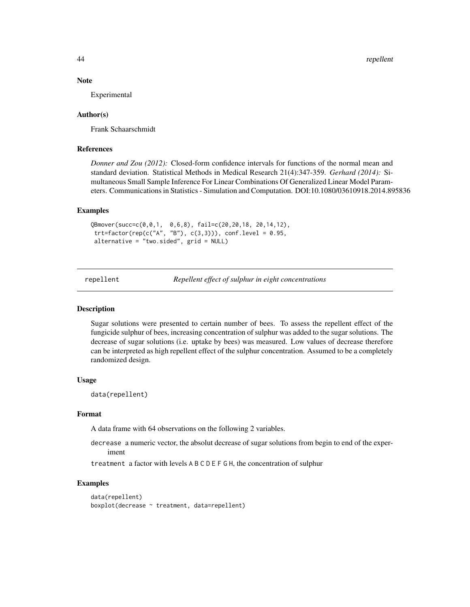#### Note

Experimental

#### Author(s)

Frank Schaarschmidt

# References

*Donner and Zou (2012):* Closed-form confidence intervals for functions of the normal mean and standard deviation. Statistical Methods in Medical Research 21(4):347-359. *Gerhard (2014):* Simultaneous Small Sample Inference For Linear Combinations Of Generalized Linear Model Parameters. Communications in Statistics - Simulation and Computation. DOI:10.1080/03610918.2014.895836

#### Examples

```
QBmover(succ=c(0,0,1, 0,6,8), fail=c(20,20,18, 20,14,12),
 trt = factor(rep(c("A", "B"), c(3,3))), conf. level = 0.95,alternative = "two.sided", grid = NULL)
```
repellent *Repellent effect of sulphur in eight concentrations*

#### Description

Sugar solutions were presented to certain number of bees. To assess the repellent effect of the fungicide sulphur of bees, increasing concentration of sulphur was added to the sugar solutions. The decrease of sugar solutions (i.e. uptake by bees) was measured. Low values of decrease therefore can be interpreted as high repellent effect of the sulphur concentration. Assumed to be a completely randomized design.

#### Usage

data(repellent)

#### Format

A data frame with 64 observations on the following 2 variables.

decrease a numeric vector, the absolut decrease of sugar solutions from begin to end of the experiment

treatment a factor with levels A B C D E F G H, the concentration of sulphur

#### Examples

```
data(repellent)
boxplot(decrease ~ treatment, data=repellent)
```
<span id="page-43-0"></span>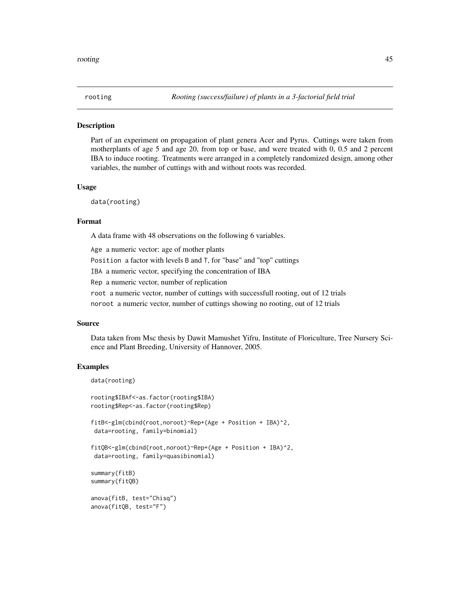<span id="page-44-0"></span>

### **Description**

Part of an experiment on propagation of plant genera Acer and Pyrus. Cuttings were taken from motherplants of age 5 and age 20, from top or base, and were treated with 0, 0.5 and 2 percent IBA to induce rooting. Treatments were arranged in a completely randomized design, among other variables, the number of cuttings with and without roots was recorded.

#### Usage

data(rooting)

#### Format

A data frame with 48 observations on the following 6 variables.

Age a numeric vector: age of mother plants

Position a factor with levels B and T, for "base" and "top" cuttings

IBA a numeric vector, specifying the concentration of IBA

Rep a numeric vector, number of replication

root a numeric vector, number of cuttings with successfull rooting, out of 12 trials

noroot a numeric vector, number of cuttings showing no rooting, out of 12 trials

#### Source

Data taken from Msc thesis by Dawit Mamushet Yifru, Institute of Floriculture, Tree Nursery Science and Plant Breeding, University of Hannover, 2005.

#### Examples

```
data(rooting)
```

```
rooting$IBAf<-as.factor(rooting$IBA)
rooting$Rep<-as.factor(rooting$Rep)
fitB<-glm(cbind(root,noroot)~Rep+(Age + Position + IBA)^2,
data=rooting, family=binomial)
fitQB<-glm(cbind(root,noroot)~Rep+(Age + Position + IBA)^2,
data=rooting, family=quasibinomial)
summary(fitB)
summary(fitQB)
anova(fitB, test="Chisq")
anova(fitQB, test="F")
```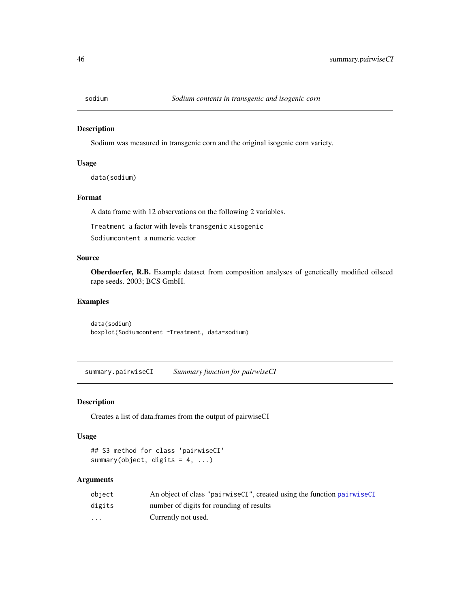<span id="page-45-0"></span>

#### Description

Sodium was measured in transgenic corn and the original isogenic corn variety.

#### Usage

data(sodium)

# Format

A data frame with 12 observations on the following 2 variables.

Treatment a factor with levels transgenic xisogenic

Sodiumcontent a numeric vector

# Source

Oberdoerfer, R.B. Example dataset from composition analyses of genetically modified oilseed rape seeds. 2003; BCS GmbH.

#### Examples

data(sodium) boxplot(Sodiumcontent ~Treatment, data=sodium)

<span id="page-45-1"></span>summary.pairwiseCI *Summary function for pairwiseCI*

#### Description

Creates a list of data.frames from the output of pairwiseCI

#### Usage

```
## S3 method for class 'pairwiseCI'
summary(object, digits = 4, ...)
```

| object                  | An object of class "pairwiseCI", created using the function pairwiseCI |
|-------------------------|------------------------------------------------------------------------|
| digits                  | number of digits for rounding of results                               |
| $\cdot$ $\cdot$ $\cdot$ | Currently not used.                                                    |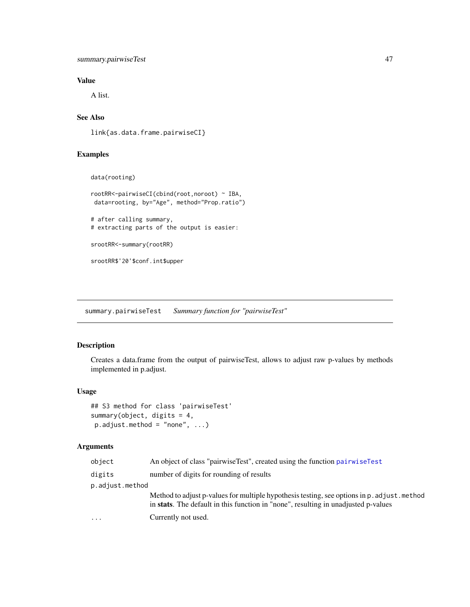# <span id="page-46-0"></span>summary.pairwiseTest 47

# Value

A list.

# See Also

link{as.data.frame.pairwiseCI}

# Examples

```
data(rooting)
```

```
rootRR<-pairwiseCI(cbind(root,noroot) ~ IBA,
data=rooting, by="Age", method="Prop.ratio")
```
# after calling summary, # extracting parts of the output is easier:

srootRR<-summary(rootRR)

srootRR\$'20'\$conf.int\$upper

<span id="page-46-1"></span>summary.pairwiseTest *Summary function for "pairwiseTest"*

# Description

Creates a data.frame from the output of pairwiseTest, allows to adjust raw p-values by methods implemented in p.adjust.

# Usage

```
## S3 method for class 'pairwiseTest'
summary(object, digits = 4,
p.addjust.method = "none", ...)
```

| object          | An object of class "pairwiseTest", created using the function pairwiseTest                                                                                                        |  |
|-----------------|-----------------------------------------------------------------------------------------------------------------------------------------------------------------------------------|--|
| digits          | number of digits for rounding of results                                                                                                                                          |  |
| p.adjust.method |                                                                                                                                                                                   |  |
|                 | Method to adjust p-values for multiple hypothesis testing, see options in p. adjust. method<br>in stats. The default in this function in "none", resulting in unadjusted p-values |  |
| .               | Currently not used.                                                                                                                                                               |  |
|                 |                                                                                                                                                                                   |  |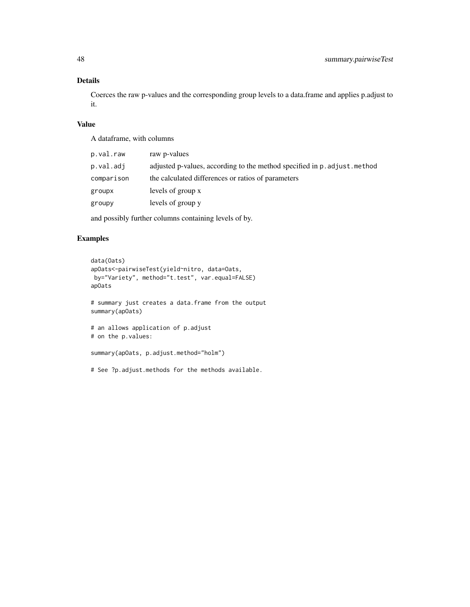# Details

Coerces the raw p-values and the corresponding group levels to a data.frame and applies p.adjust to it.

# Value

A dataframe, with columns

| p.val.raw  | raw p-values                                                              |
|------------|---------------------------------------------------------------------------|
| p.val.adj  | adjusted p-values, according to the method specified in p. adjust. method |
| comparison | the calculated differences or ratios of parameters                        |
| groupx     | levels of group x                                                         |
| groupy     | levels of group y                                                         |

and possibly further columns containing levels of by.

# Examples

```
data(Oats)
apOats<-pairwiseTest(yield~nitro, data=Oats,
by="Variety", method="t.test", var.equal=FALSE)
apOats
# summary just creates a data.frame from the output
summary(apOats)
# an allows application of p.adjust
# on the p.values:
summary(apOats, p.adjust.method="holm")
```
# See ?p.adjust.methods for the methods available.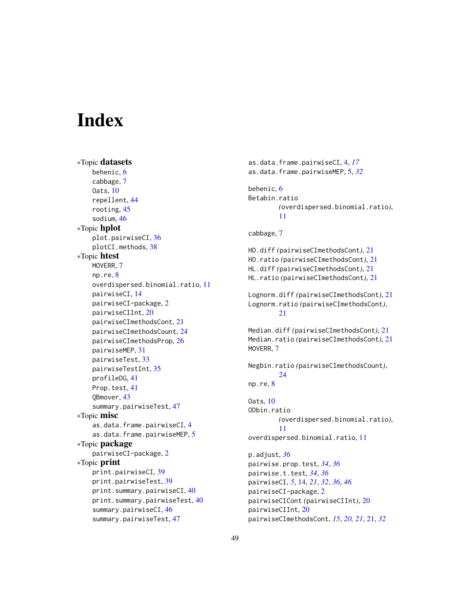# <span id="page-48-0"></span>**Index**

```
∗Topic datasets
    behenic, 6
    cabbage, 7
    Oats, 10
    repellent, 44
    rooting, 45
    sodium, 46
∗Topic hplot
    plot.pairwiseCI, 36
    plotCI.methods, 38
∗Topic htest
    MOVERR, 7
    np.re, 8
    overdispersed.binomial.ratio, 11
    pairwiseCI, 14
    pairwiseCI-package, 2
    pairwiseCIInt, 20
    pairwiseCImethodsCont, 21
    pairwiseCImethodsCount, 24
    pairwiseCImethodsProp, 26
    pairwiseMEP, 31
    pairwiseTest, 33
    pairwiseTestInt, 35
    profileDG, 41
    Prop.test, 41
    QBmover, 43
    summary.pairwiseTest, 47
∗Topic misc
    as.data.frame.pairwiseCI, 4
    as.data.frame.pairwiseMEP, 5
∗Topic package
    pairwiseCI-package, 2
∗Topic print
    print.pairwiseCI, 39
    print.pairwiseTest, 39
    print.summary.pairwiseCI, 40
    print.summary.pairwiseTest, 40
    summary.pairwiseCI, 46
    summary.pairwiseTest, 47
```

```
as.data.frame.pairwiseCI, 4, 17
as.data.frame.pairwiseMEP, 5, 32
behenic, 6
Betabin.ratio
        (overdispersed.binomial.ratio),
        11
cabbage, 7
HD.diff (pairwiseCImethodsCont), 21
HD.ratio (pairwiseCImethodsCont), 21
HL.diff (pairwiseCImethodsCont), 21
HL.ratio (pairwiseCImethodsCont), 21
Lognorm.diff (pairwiseCImethodsCont), 21
Lognorm.ratio (pairwiseCImethodsCont),
        21
Median.diff (pairwiseCImethodsCont), 21
Median.ratio (pairwiseCImethodsCont), 21
MOVERR, 7
Negbin.ratio (pairwiseCImethodsCount),
        24
np.re, 8
Oats, 10
ODbin.ratio
        (overdispersed.binomial.ratio),
        11
overdispersed.binomial.ratio, 11
p.adjust, 36
pairwise.prop.test, 34, 36
pairwise.t.test, 34, 36
pairwiseCI, 5, 14, 21, 32, 36, 46
pairwiseCI-package, 2
pairwiseCICont (pairwiseCIInt), 20
pairwiseCIInt, 20
```
pairwiseCImethodsCont, *[15](#page-14-0)*, *[20,](#page-19-0) [21](#page-20-0)*, [21,](#page-20-0) *[32](#page-31-0)*